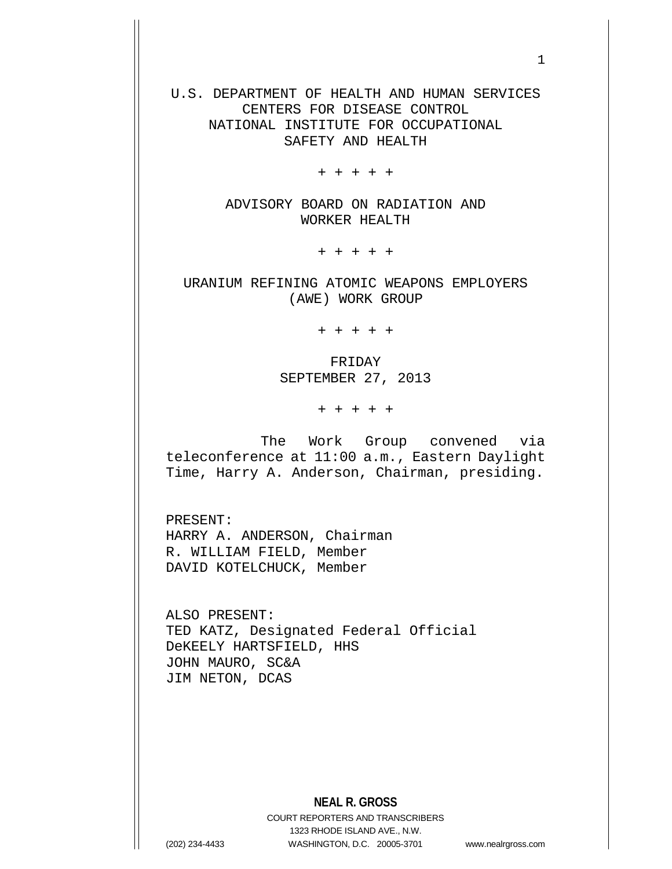U.S. DEPARTMENT OF HEALTH AND HUMAN SERVICES CENTERS FOR DISEASE CONTROL NATIONAL INSTITUTE FOR OCCUPATIONAL SAFETY AND HEALTH

+ + + + +

ADVISORY BOARD ON RADIATION AND WORKER HEALTH

+ + + + +

URANIUM REFINING ATOMIC WEAPONS EMPLOYERS (AWE) WORK GROUP

+ + + + +

FRIDAY SEPTEMBER 27, 2013

+ + + + +

The Work Group convened via teleconference at 11:00 a.m., Eastern Daylight Time, Harry A. Anderson, Chairman, presiding.

PRESENT: HARRY A. ANDERSON, Chairman R. WILLIAM FIELD, Member DAVID KOTELCHUCK, Member

ALSO PRESENT: TED KATZ, Designated Federal Official DeKEELY HARTSFIELD, HHS JOHN MAURO, SC&A JIM NETON, DCAS

## **NEAL R. GROSS**

COURT REPORTERS AND TRANSCRIBERS 1323 RHODE ISLAND AVE., N.W. (202) 234-4433 WASHINGTON, D.C. 20005-3701 www.nealrgross.com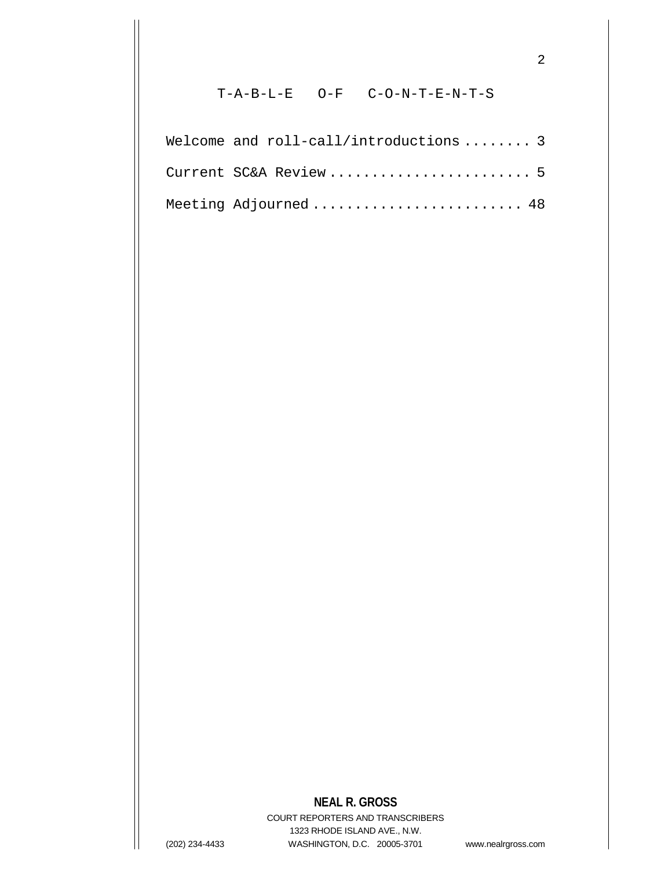## T-A-B-L-E O-F C-O-N-T-E-N-T-S

2

| Welcome and roll-call/introductions  3 |  |
|----------------------------------------|--|
| Current SC&A Review  5                 |  |
| Meeting Adjourned  48                  |  |

## **NEAL R. GROSS**

COURT REPORTERS AND TRANSCRIBERS 1323 RHODE ISLAND AVE., N.W. (202) 234-4433 WASHINGTON, D.C. 20005-3701 www.nealrgross.com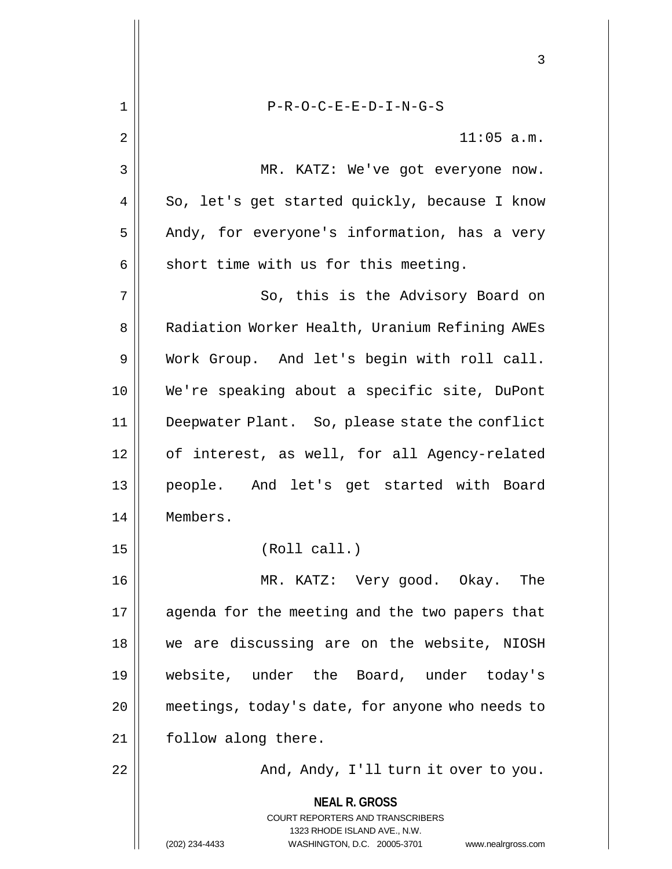**NEAL R. GROSS** COURT REPORTERS AND TRANSCRIBERS 1323 RHODE ISLAND AVE., N.W. (202) 234-4433 WASHINGTON, D.C. 20005-3701 www.nealrgross.com 3 1 || P-R-O-C-E-E-D-I-N-G-S  $2 \parallel$  11:05 a.m. 3 || MR. KATZ: We've got everyone now.  $4 \parallel$  So, let's get started quickly, because I know  $5 \parallel$  Andy, for everyone's information, has a very  $6 \parallel$  short time with us for this meeting. 7 || So, this is the Advisory Board on 8 | Radiation Worker Health, Uranium Refining AWEs 9 Work Group. And let's begin with roll call. 10 We're speaking about a specific site, DuPont 11 Deepwater Plant. So, please state the conflict 12 || of interest, as well, for all Agency-related 13 people. And let's get started with Board 14 Members. 15 || (Roll call.) 16 MR. KATZ: Very good. Okay. The 17 || agenda for the meeting and the two papers that 18 we are discussing are on the website, NIOSH 19 website, under the Board, under today's 20 | meetings, today's date, for anyone who needs to 21 | follow along there. 22 And, Andy, I'll turn it over to you.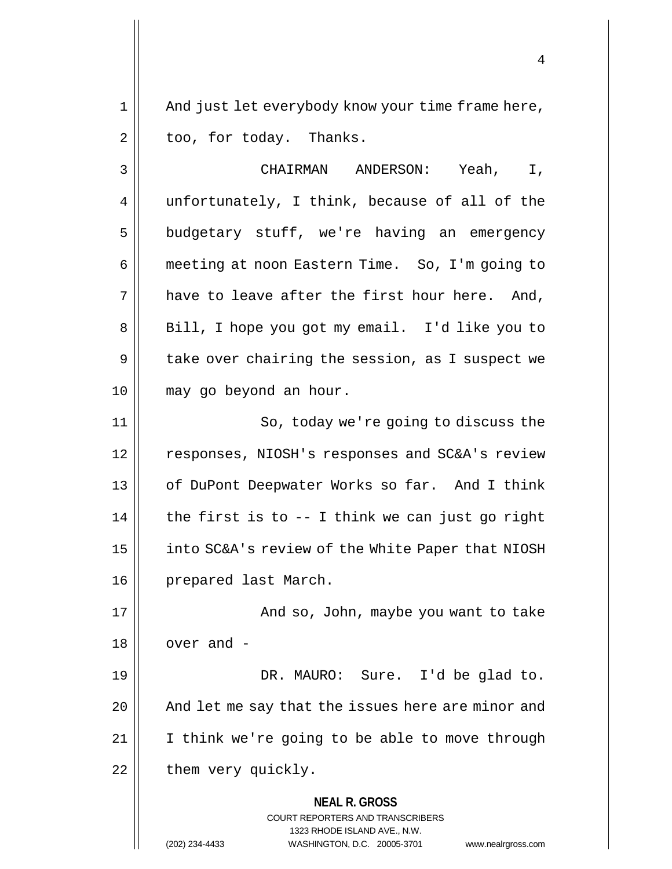1 || And just let everybody know your time frame here,  $2 \parallel$  too, for today. Thanks.

3 CHAIRMAN ANDERSON: Yeah, I, 4 || unfortunately, I think, because of all of the 5 | budgetary stuff, we're having an emergency 6 meeting at noon Eastern Time. So, I'm going to  $7 \parallel$  have to leave after the first hour here. And, 8 || Bill, I hope you got my email. I'd like you to 9 | take over chairing the session, as I suspect we 10 may go beyond an hour. 11 || So, today we're going to discuss the 12 responses, NIOSH's responses and SC&A's review 13 || of DuPont Deepwater Works so far. And I think  $14$  | the first is to  $-$  I think we can just go right 15 | into SC&A's review of the White Paper that NIOSH 16 | prepared last March.

17 And so, John, maybe you want to take  $18 \parallel$  over and -19 DR. MAURO: Sure. I'd be glad to. 20 || And let me say that the issues here are minor and

 $21$  | I think we're going to be able to move through  $22$  | them very quickly.

> **NEAL R. GROSS** COURT REPORTERS AND TRANSCRIBERS

> > 1323 RHODE ISLAND AVE., N.W.

(202) 234-4433 WASHINGTON, D.C. 20005-3701 www.nealrgross.com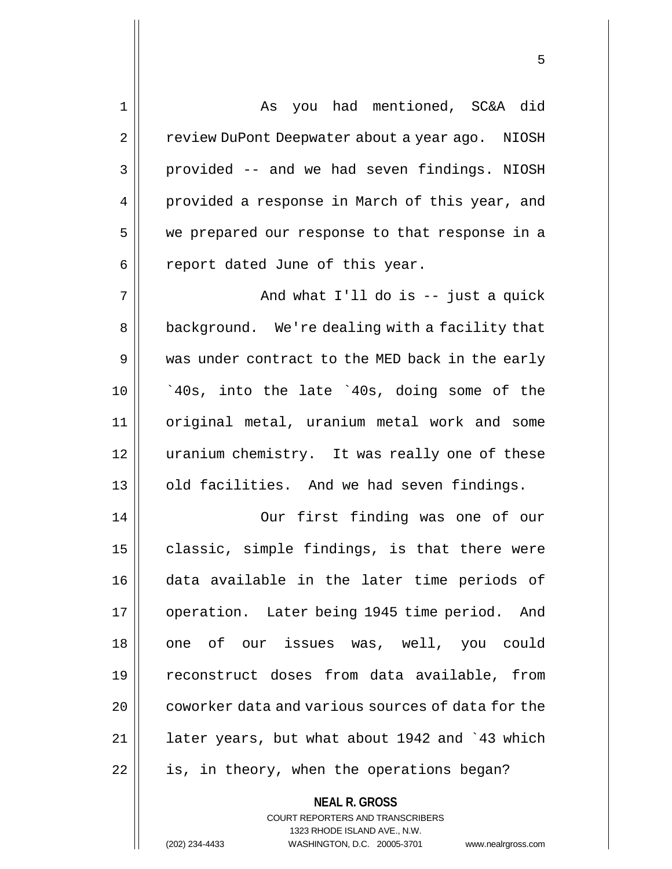1 As you had mentioned, SC&A did 2 | review DuPont Deepwater about a year ago. NIOSH 3 | provided -- and we had seven findings. NIOSH 4 || provided a response in March of this year, and 5 || we prepared our response to that response in a  $6 \parallel$  report dated June of this year.  $7 \parallel$  and what I'll do is -- just a quick 8 | background. We're dealing with a facility that 9 was under contract to the MED back in the early  $10$  |  $\degree$ 40s, into the late  $\degree$ 40s, doing some of the 11 original metal, uranium metal work and some 12 || uranium chemistry. It was really one of these 13 || old facilities. And we had seven findings. 14 Our first finding was one of our  $15$  | classic, simple findings, is that there were 16 data available in the later time periods of 17 || operation. Later being 1945 time period. And 18 || one of our issues was, well, you could 19 reconstruct doses from data available, from 20 | coworker data and various sources of data for the  $21$  | later years, but what about 1942 and  $343$  which  $22$  | is, in theory, when the operations began?

> **NEAL R. GROSS** COURT REPORTERS AND TRANSCRIBERS 1323 RHODE ISLAND AVE., N.W.

(202) 234-4433 WASHINGTON, D.C. 20005-3701 www.nealrgross.com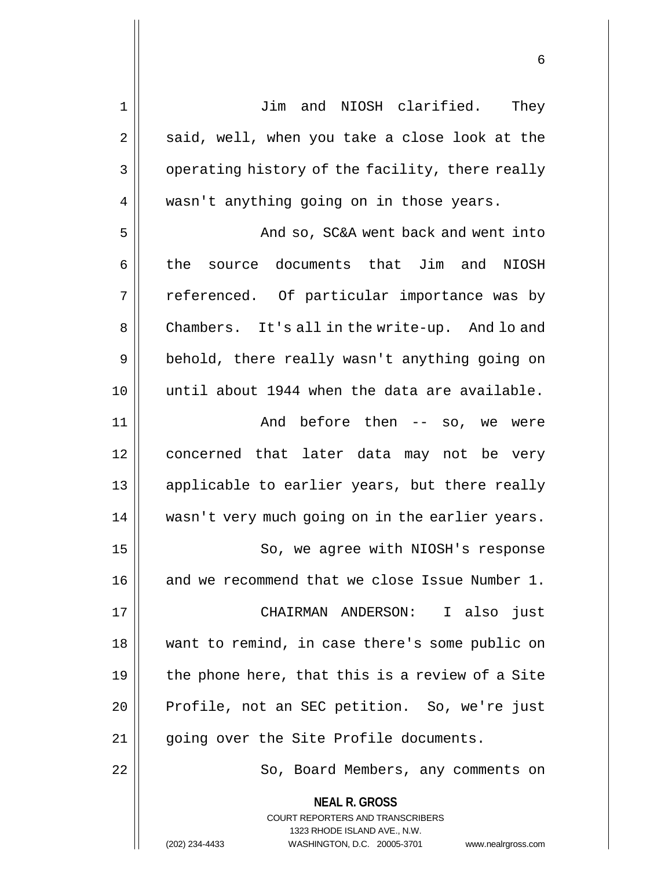| 1  | Jim and NIOSH clarified.<br>They                                                                                                                                       |
|----|------------------------------------------------------------------------------------------------------------------------------------------------------------------------|
| 2  | said, well, when you take a close look at the                                                                                                                          |
| 3  | operating history of the facility, there really                                                                                                                        |
| 4  | wasn't anything going on in those years.                                                                                                                               |
| 5  | And so, SC&A went back and went into                                                                                                                                   |
| 6  | the source documents that Jim and NIOSH                                                                                                                                |
| 7  | referenced. Of particular importance was by                                                                                                                            |
| 8  | Chambers. It's all in the write-up. And lo and                                                                                                                         |
| 9  | behold, there really wasn't anything going on                                                                                                                          |
| 10 | until about 1944 when the data are available.                                                                                                                          |
| 11 | And before then -- so, we were                                                                                                                                         |
| 12 | concerned that later data may not be very                                                                                                                              |
| 13 | applicable to earlier years, but there really                                                                                                                          |
| 14 | wasn't very much going on in the earlier years.                                                                                                                        |
| 15 | So, we agree with NIOSH's response                                                                                                                                     |
| 16 | and we recommend that we close Issue Number 1.                                                                                                                         |
| 17 | CHAIRMAN ANDERSON: I also just                                                                                                                                         |
| 18 | want to remind, in case there's some public on                                                                                                                         |
| 19 | the phone here, that this is a review of a Site                                                                                                                        |
| 20 | Profile, not an SEC petition. So, we're just                                                                                                                           |
| 21 | going over the Site Profile documents.                                                                                                                                 |
| 22 | So, Board Members, any comments on                                                                                                                                     |
|    | <b>NEAL R. GROSS</b><br><b>COURT REPORTERS AND TRANSCRIBERS</b><br>1323 RHODE ISLAND AVE., N.W.<br>WASHINGTON, D.C. 20005-3701<br>(202) 234-4433<br>www.nealrgross.com |
|    |                                                                                                                                                                        |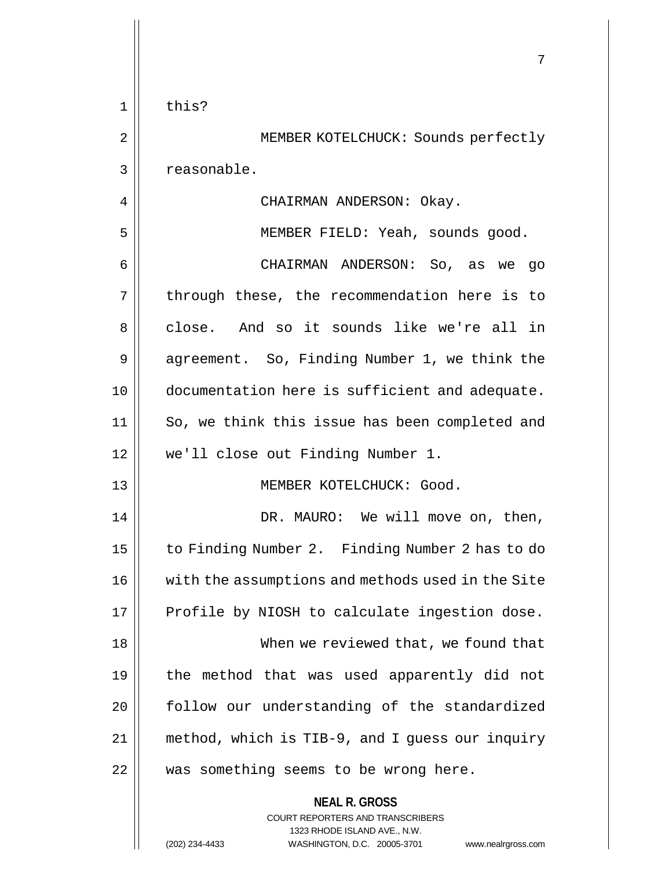|                | 7                                                                                                   |
|----------------|-----------------------------------------------------------------------------------------------------|
| $\mathbf 1$    | this?                                                                                               |
| 2              | MEMBER KOTELCHUCK: Sounds perfectly                                                                 |
| 3              | reasonable.                                                                                         |
| $\overline{4}$ | CHAIRMAN ANDERSON: Okay.                                                                            |
| 5              | MEMBER FIELD: Yeah, sounds good.                                                                    |
| 6              | CHAIRMAN ANDERSON: So, as we go                                                                     |
| 7              | through these, the recommendation here is to                                                        |
| 8              | close. And so it sounds like we're all in                                                           |
| 9              | agreement. So, Finding Number 1, we think the                                                       |
| 10             | documentation here is sufficient and adequate.                                                      |
| 11             | So, we think this issue has been completed and                                                      |
| 12             | we'll close out Finding Number 1.                                                                   |
| 13             | MEMBER KOTELCHUCK: Good.                                                                            |
| 14             | DR. MAURO: We will move on, then,                                                                   |
| 15             | to Finding Number 2. Finding Number 2 has to do                                                     |
| 16             | with the assumptions and methods used in the Site                                                   |
| 17             | Profile by NIOSH to calculate ingestion dose.                                                       |
| 18             | When we reviewed that, we found that                                                                |
| 19             | the method that was used apparently did not                                                         |
| 20             | follow our understanding of the standardized                                                        |
| 21             | method, which is TIB-9, and I guess our inquiry                                                     |
| 22             | was something seems to be wrong here.                                                               |
|                | <b>NEAL R. GROSS</b><br>COURT REPORTERS AND TRANSCRIBERS                                            |
|                | 1323 RHODE ISLAND AVE., N.W.<br>(202) 234-4433<br>WASHINGTON, D.C. 20005-3701<br>www.nealrgross.com |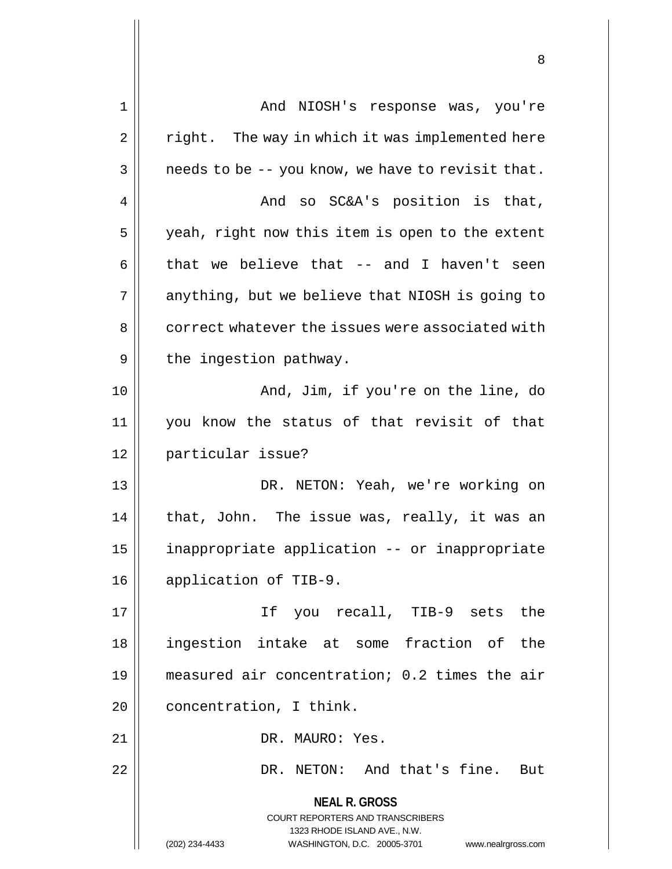| $\mathbf 1$ | And NIOSH's response was, you're                                                                |
|-------------|-------------------------------------------------------------------------------------------------|
| 2           | right. The way in which it was implemented here                                                 |
| 3           | needs to be -- you know, we have to revisit that.                                               |
| 4           | And so SC&A's position is that,                                                                 |
| 5           | yeah, right now this item is open to the extent                                                 |
| 6           | that we believe that -- and I haven't seen                                                      |
| 7           | anything, but we believe that NIOSH is going to                                                 |
| 8           | correct whatever the issues were associated with                                                |
| 9           | the ingestion pathway.                                                                          |
| 10          | And, Jim, if you're on the line, do                                                             |
| 11          | you know the status of that revisit of that                                                     |
| 12          | particular issue?                                                                               |
| 13          | DR. NETON: Yeah, we're working on                                                               |
| 14          | that, John. The issue was, really, it was an                                                    |
| 15          | inappropriate application -- or inappropriate                                                   |
| 16          | application of TIB-9.                                                                           |
| 17          | If you recall, TIB-9 sets the                                                                   |
| 18          | ingestion intake at some fraction of the                                                        |
| 19          | measured air concentration; 0.2 times the air                                                   |
| 20          | concentration, I think.                                                                         |
| 21          | DR. MAURO: Yes.                                                                                 |
| 22          | DR. NETON: And that's fine. But                                                                 |
|             | <b>NEAL R. GROSS</b><br><b>COURT REPORTERS AND TRANSCRIBERS</b><br>1323 RHODE ISLAND AVE., N.W. |
|             | (202) 234-4433<br>WASHINGTON, D.C. 20005-3701<br>www.nealrgross.com                             |

Ħ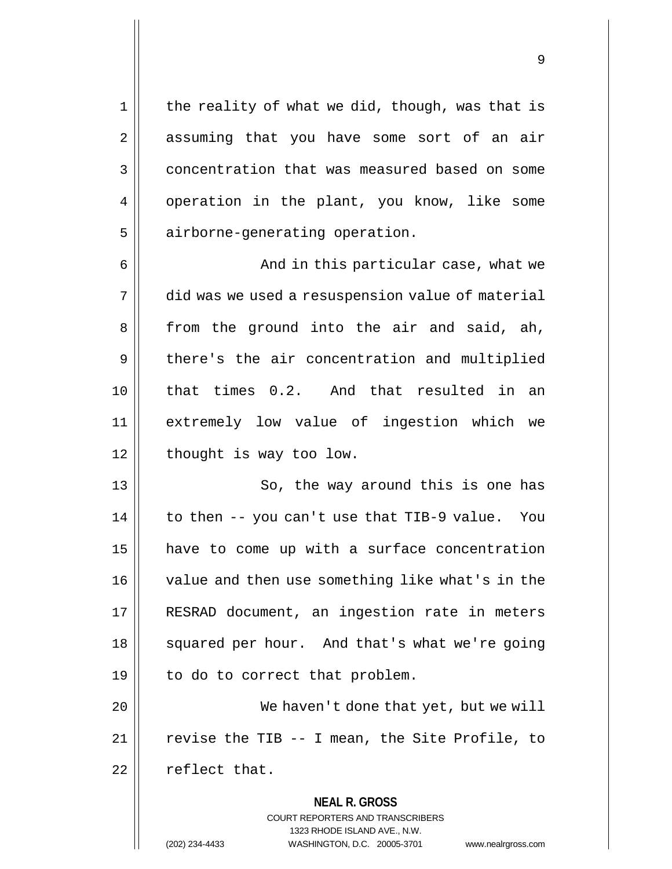$1 ||$  the reality of what we did, though, was that is 2 || assuming that you have some sort of an air 3 **Concentration that was measured based on some** 4 | operation in the plant, you know, like some 5 | airborne-generating operation.

 And in this particular case, what we did was we used a resuspension value of material  $8 \parallel$  from the ground into the air and said, ah, 9 || there's the air concentration and multiplied that times 0.2. And that resulted in an extremely low value of ingestion which we | thought is way too low.

13 || So, the way around this is one has  $14$  | to then -- you can't use that TIB-9 value. You 15 have to come up with a surface concentration 16 | value and then use something like what's in the 17 RESRAD document, an ingestion rate in meters 18 || squared per hour. And that's what we're going  $19 \parallel$  to do to correct that problem.

20 || We haven't done that yet, but we will 21  $\vert$  revise the TIB -- I mean, the Site Profile, to 22 | reflect that.

> **NEAL R. GROSS** COURT REPORTERS AND TRANSCRIBERS 1323 RHODE ISLAND AVE., N.W. (202) 234-4433 WASHINGTON, D.C. 20005-3701 www.nealrgross.com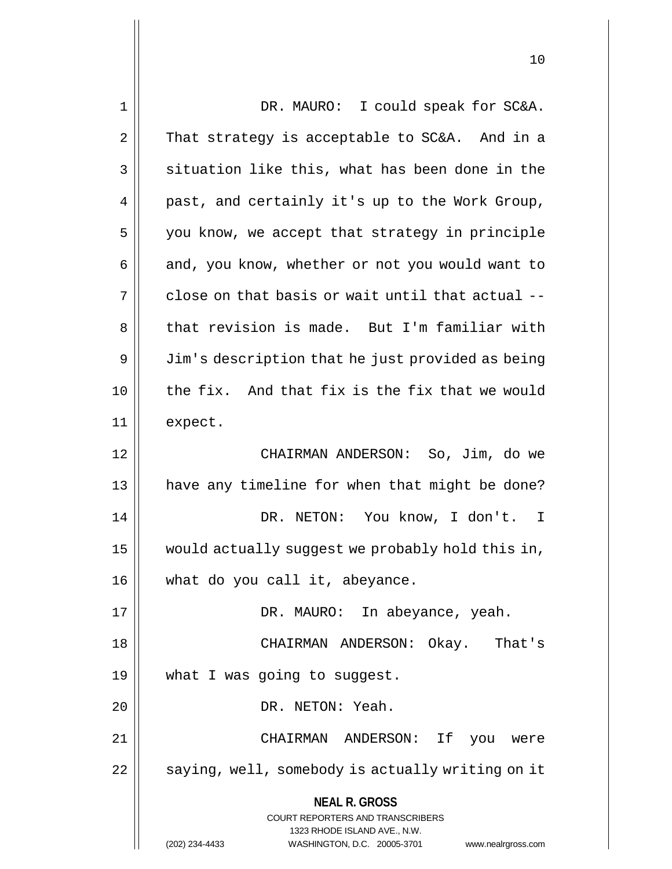| $\mathbf 1$ | DR. MAURO: I could speak for SC&A.                                                                  |
|-------------|-----------------------------------------------------------------------------------------------------|
| 2           | That strategy is acceptable to SC&A. And in a                                                       |
| 3           | situation like this, what has been done in the                                                      |
| 4           | past, and certainly it's up to the Work Group,                                                      |
| 5           | you know, we accept that strategy in principle                                                      |
| 6           | and, you know, whether or not you would want to                                                     |
| 7           | close on that basis or wait until that actual --                                                    |
| 8           | that revision is made. But I'm familiar with                                                        |
| 9           | Jim's description that he just provided as being                                                    |
| 10          | the fix. And that fix is the fix that we would                                                      |
| 11          | expect.                                                                                             |
| 12          | CHAIRMAN ANDERSON: So, Jim, do we                                                                   |
| 13          | have any timeline for when that might be done?                                                      |
| 14          | DR. NETON: You know, I don't. I                                                                     |
| 15          | would actually suggest we probably hold this in,                                                    |
| 16          | what do you call it, abeyance.                                                                      |
| 17          | DR. MAURO: In abeyance, yeah.                                                                       |
| 18          | CHAIRMAN ANDERSON: Okay. That's                                                                     |
| 19          | what I was going to suggest.                                                                        |
| 20          | DR. NETON: Yeah.                                                                                    |
| 21          | CHAIRMAN ANDERSON: If<br>you were                                                                   |
| 22          | saying, well, somebody is actually writing on it                                                    |
|             | <b>NEAL R. GROSS</b>                                                                                |
|             | COURT REPORTERS AND TRANSCRIBERS                                                                    |
|             | 1323 RHODE ISLAND AVE., N.W.<br>(202) 234-4433<br>WASHINGTON, D.C. 20005-3701<br>www.nealrgross.com |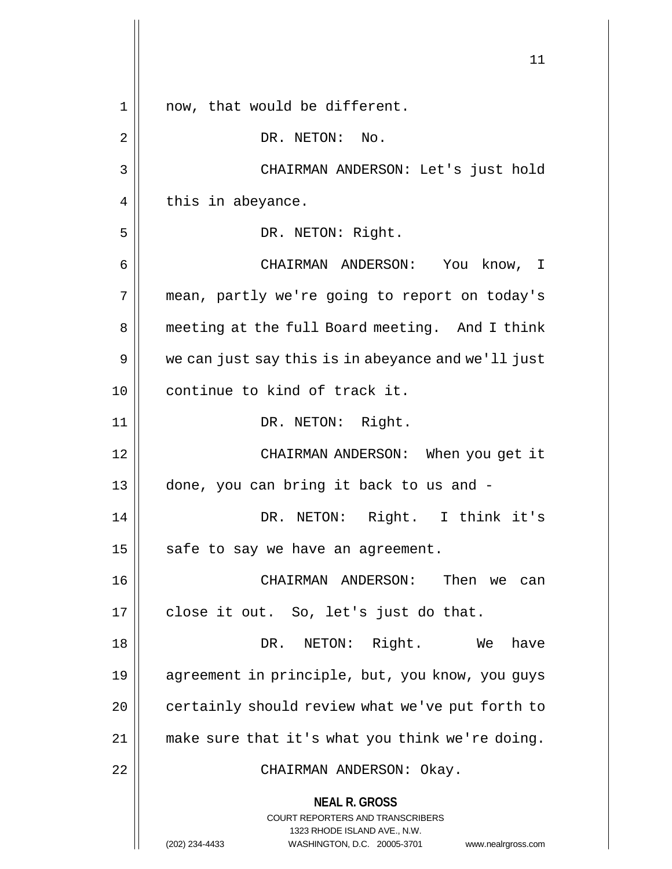|    | 11                                                                                                                                                              |
|----|-----------------------------------------------------------------------------------------------------------------------------------------------------------------|
| 1  | now, that would be different.                                                                                                                                   |
| 2  | DR. NETON: No.                                                                                                                                                  |
| 3  | CHAIRMAN ANDERSON: Let's just hold                                                                                                                              |
| 4  | this in abeyance.                                                                                                                                               |
| 5  | DR. NETON: Right.                                                                                                                                               |
| 6  | CHAIRMAN ANDERSON:<br>You know, I                                                                                                                               |
| 7  | mean, partly we're going to report on today's                                                                                                                   |
| 8  | meeting at the full Board meeting. And I think                                                                                                                  |
| 9  | we can just say this is in abeyance and we'll just                                                                                                              |
| 10 | continue to kind of track it.                                                                                                                                   |
| 11 | DR. NETON: Right.                                                                                                                                               |
| 12 | CHAIRMAN ANDERSON: When you get it                                                                                                                              |
| 13 | done, you can bring it back to us and -                                                                                                                         |
| 14 | DR. NETON: Right. I think it's                                                                                                                                  |
| 15 | safe to say we have an agreement.                                                                                                                               |
| 16 | CHAIRMAN ANDERSON:<br>Then we can                                                                                                                               |
| 17 | close it out. So, let's just do that.                                                                                                                           |
| 18 | DR. NETON: Right. We<br>have                                                                                                                                    |
| 19 | agreement in principle, but, you know, you guys                                                                                                                 |
| 20 | certainly should review what we've put forth to                                                                                                                 |
| 21 | make sure that it's what you think we're doing.                                                                                                                 |
| 22 | CHAIRMAN ANDERSON: Okay.                                                                                                                                        |
|    | <b>NEAL R. GROSS</b><br>COURT REPORTERS AND TRANSCRIBERS<br>1323 RHODE ISLAND AVE., N.W.<br>(202) 234-4433<br>WASHINGTON, D.C. 20005-3701<br>www.nealrgross.com |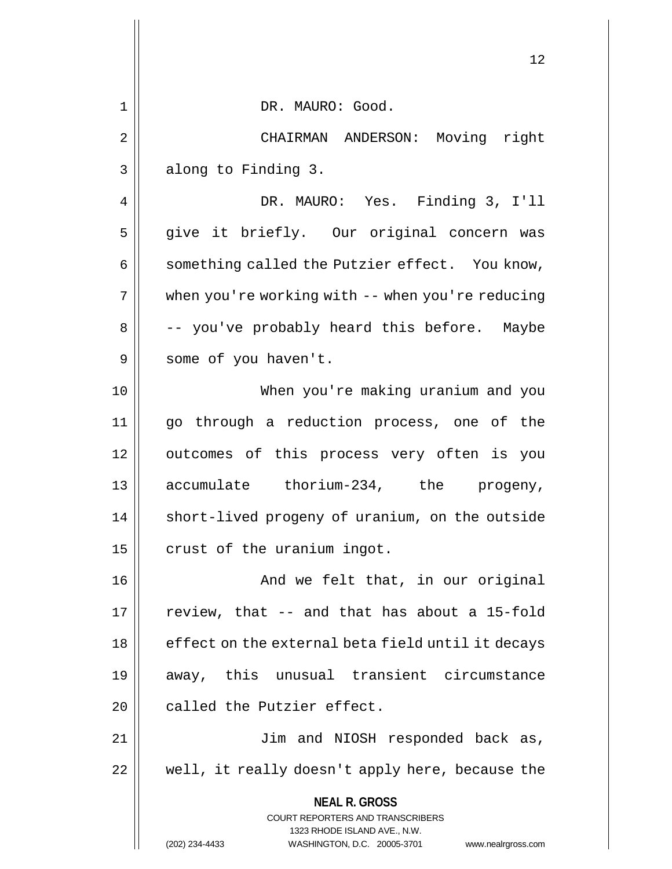|    | 12                                                                  |
|----|---------------------------------------------------------------------|
| 1  | DR. MAURO: Good.                                                    |
| 2  | CHAIRMAN ANDERSON: Moving right                                     |
| 3  | along to Finding 3.                                                 |
| 4  | DR. MAURO: Yes. Finding 3, I'll                                     |
| 5  | give it briefly. Our original concern was                           |
| 6  | something called the Putzier effect. You know,                      |
| 7  | when you're working with -- when you're reducing                    |
| 8  | -- you've probably heard this before. Maybe                         |
| 9  | some of you haven't.                                                |
| 10 | When you're making uranium and you                                  |
| 11 | go through a reduction process, one of the                          |
| 12 | outcomes of this process very often is you                          |
| 13 | accumulate thorium-234, the progeny,                                |
| 14 | short-lived progeny of uranium, on the outside                      |
| 15 | crust of the uranium ingot.                                         |
| 16 | And we felt that, in our original                                   |
| 17 | review, that -- and that has about a 15-fold                        |
| 18 | effect on the external beta field until it decays                   |
| 19 | away, this unusual transient circumstance                           |
| 20 | called the Putzier effect.                                          |
| 21 | Jim and NIOSH responded back as,                                    |
| 22 | well, it really doesn't apply here, because the                     |
|    | <b>NEAL R. GROSS</b><br><b>COURT REPORTERS AND TRANSCRIBERS</b>     |
|    | 1323 RHODE ISLAND AVE., N.W.                                        |
|    | WASHINGTON, D.C. 20005-3701<br>(202) 234-4433<br>www.nealrgross.com |

 $\mathsf{I}$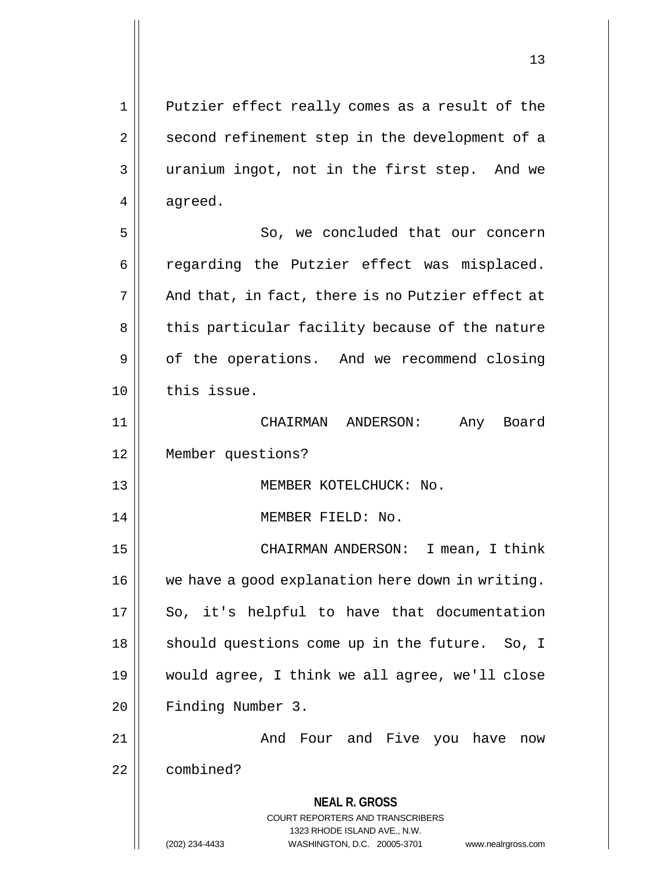**NEAL R. GROSS** COURT REPORTERS AND TRANSCRIBERS 1323 RHODE ISLAND AVE., N.W. 1 || Putzier effect really comes as a result of the 2 || second refinement step in the development of a 3 || uranium ingot, not in the first step. And we  $4 \parallel$  agreed. 5 || So, we concluded that our concern 6 || regarding the Putzier effect was misplaced.  $7 \parallel$  And that, in fact, there is no Putzier effect at 8 || this particular facility because of the nature 9 | of the operations. And we recommend closing  $10$   $\parallel$  this issue. 11 CHAIRMAN ANDERSON: Any Board 12 Member questions? 13 || **MEMBER KOTELCHUCK: No.** 14 || MEMBER FIELD: No. 15 || CHAIRMAN ANDERSON: I mean, I think 16 | we have a good explanation here down in writing.  $17$  | So, it's helpful to have that documentation 18 || should questions come up in the future. So, I 19 would agree, I think we all agree, we'll close 20 Finding Number 3. 21 And Four and Five you have now 22 combined?

(202) 234-4433 WASHINGTON, D.C. 20005-3701 www.nealrgross.com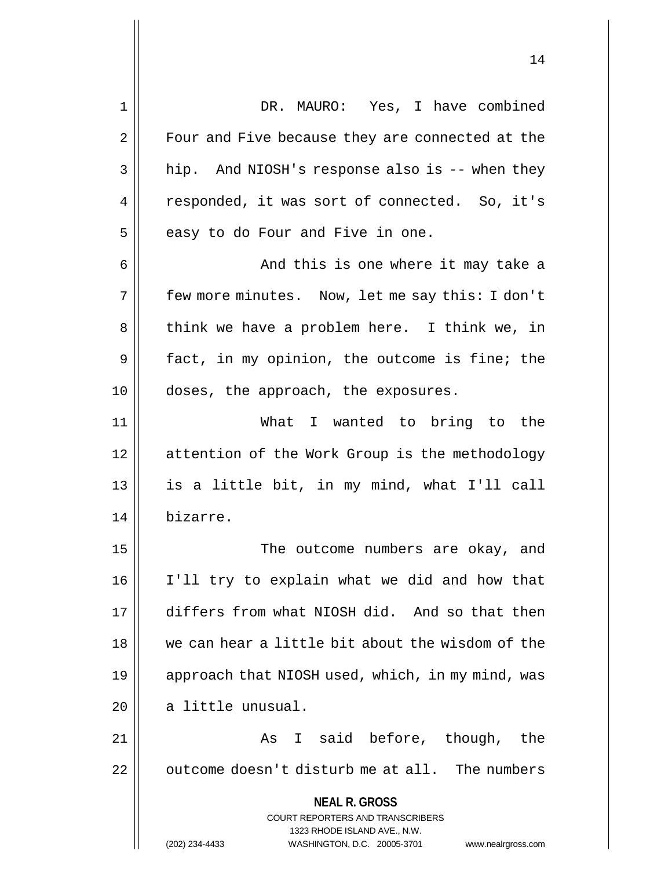**NEAL R. GROSS** COURT REPORTERS AND TRANSCRIBERS 1323 RHODE ISLAND AVE., N.W. (202) 234-4433 WASHINGTON, D.C. 20005-3701 www.nealrgross.com 1 DR. MAURO: Yes, I have combined 2 | Four and Five because they are connected at the  $3 \parallel$  hip. And NIOSH's response also is -- when they 4 || responded, it was sort of connected. So, it's  $5$  | easy to do Four and Five in one. 6 || And this is one where it may take a 7 few more minutes. Now, let me say this: I don't 8 || think we have a problem here. I think we, in  $9 \parallel$  fact, in my opinion, the outcome is fine; the 10 || doses, the approach, the exposures. 11 What I wanted to bring to the 12 | attention of the Work Group is the methodology 13 || is a little bit, in my mind, what I'll call 14 bizarre. 15 || The outcome numbers are okay, and 16 I'll try to explain what we did and how that 17 differs from what NIOSH did. And so that then 18 we can hear a little bit about the wisdom of the 19 || approach that NIOSH used, which, in my mind, was 20 | a little unusual. 21 || The Solomon State State State State State State State State State State State State State State State St  $22$  | outcome doesn't disturb me at all. The numbers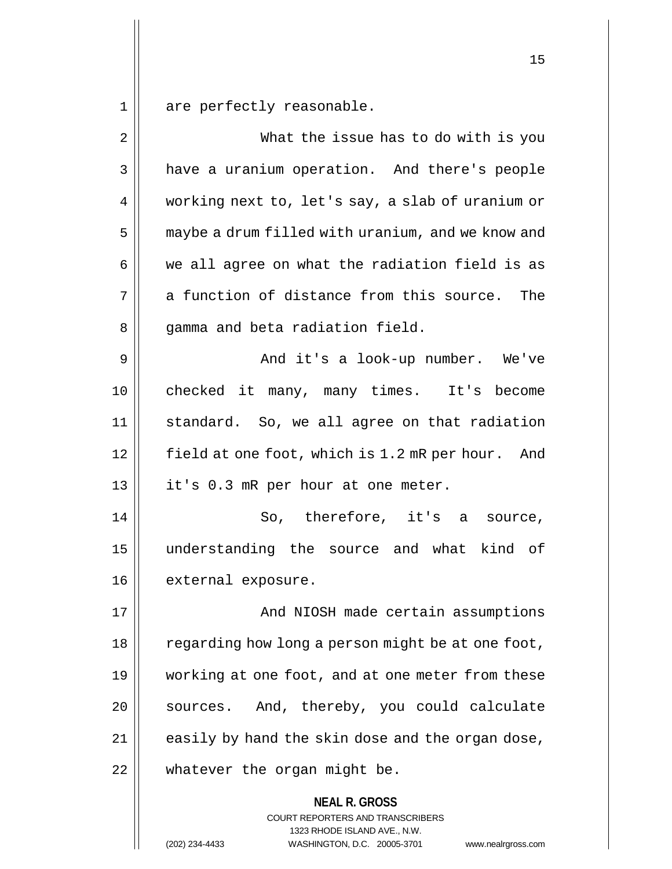are perfectly reasonable.

| 2  | What the issue has to do with is you                     |
|----|----------------------------------------------------------|
| 3  | have a uranium operation. And there's people             |
| 4  | working next to, let's say, a slab of uranium or         |
| 5  | maybe a drum filled with uranium, and we know and        |
| 6  | we all agree on what the radiation field is as           |
| 7  | a function of distance from this source. The             |
| 8  | gamma and beta radiation field.                          |
| 9  | And it's a look-up number. We've                         |
| 10 | checked it many, many times. It's become                 |
| 11 | standard. So, we all agree on that radiation             |
| 12 | field at one foot, which is 1.2 mR per hour. And         |
| 13 | it's 0.3 mR per hour at one meter.                       |
| 14 | So, therefore, it's a source,                            |
| 15 | understanding the source and what kind of                |
| 16 | external exposure.                                       |
| 17 | And NIOSH made certain assumptions                       |
| 18 | regarding how long a person might be at one foot,        |
| 19 | working at one foot, and at one meter from these         |
| 20 | sources. And, thereby, you could calculate               |
| 21 | easily by hand the skin dose and the organ dose,         |
| 22 | whatever the organ might be.                             |
|    | <b>NEAL R. GROSS</b><br>COURT REPORTERS AND TRANSCRIBERS |

1323 RHODE ISLAND AVE., N.W.

(202) 234-4433 WASHINGTON, D.C. 20005-3701 www.nealrgross.com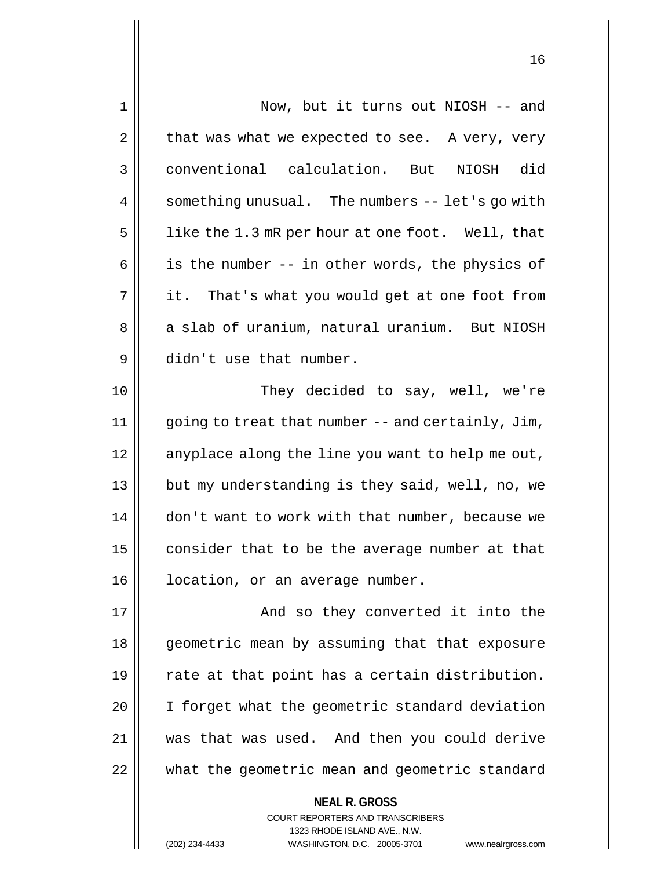| $\mathbf 1$ | Now, but it turns out NIOSH -- and                                                              |
|-------------|-------------------------------------------------------------------------------------------------|
| 2           | that was what we expected to see. A very, very                                                  |
| 3           | conventional calculation. But<br>did<br>NIOSH                                                   |
| 4           | something unusual. The numbers -- let's go with                                                 |
| 5           | like the 1.3 mR per hour at one foot. Well, that                                                |
| 6           | is the number -- in other words, the physics of                                                 |
| 7           | it. That's what you would get at one foot from                                                  |
| 8           | a slab of uranium, natural uranium. But NIOSH                                                   |
| 9           | didn't use that number.                                                                         |
| 10          | They decided to say, well, we're                                                                |
| 11          | going to treat that number -- and certainly, Jim,                                               |
| 12          | anyplace along the line you want to help me out,                                                |
| 13          | but my understanding is they said, well, no, we                                                 |
| 14          | don't want to work with that number, because we                                                 |
| 15          | consider that to be the average number at that                                                  |
| 16          | location, or an average number.                                                                 |
| 17          | And so they converted it into the                                                               |
| 18          | geometric mean by assuming that that exposure                                                   |
| 19          | rate at that point has a certain distribution.                                                  |
| 20          | I forget what the geometric standard deviation                                                  |
| 21          | was that was used. And then you could derive                                                    |
| 22          | what the geometric mean and geometric standard                                                  |
|             | <b>NEAL R. GROSS</b><br><b>COURT REPORTERS AND TRANSCRIBERS</b><br>1323 RHODE ISLAND AVE., N.W. |
|             | (202) 234-4433<br>WASHINGTON, D.C. 20005-3701<br>www.nealrgross.com                             |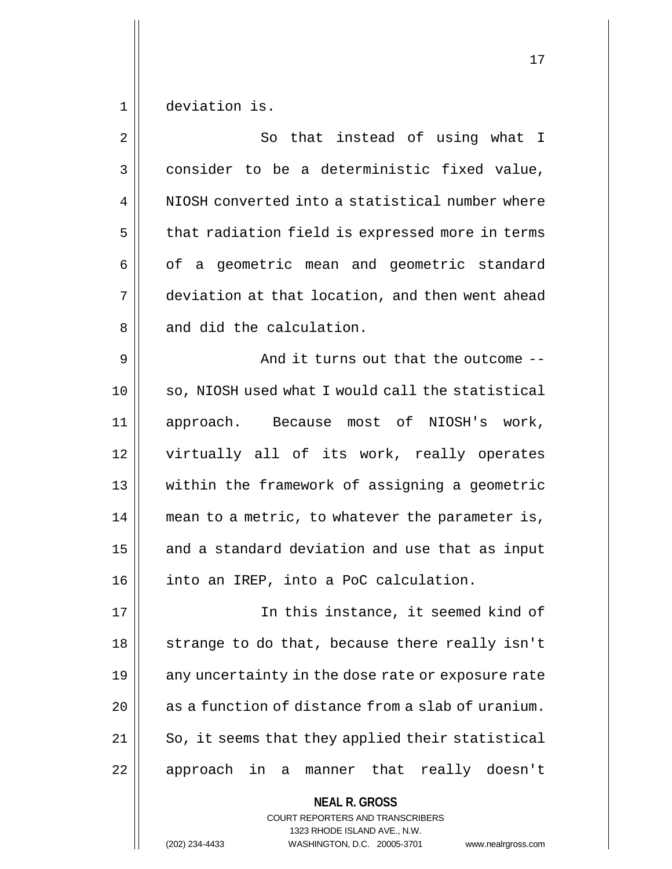1 deviation is.

| $\overline{2}$ | So that instead of using what I                   |
|----------------|---------------------------------------------------|
| 3              | consider to be a deterministic fixed value,       |
| 4              | NIOSH converted into a statistical number where   |
| 5              | that radiation field is expressed more in terms   |
| 6              | of a geometric mean and geometric standard        |
| 7              | deviation at that location, and then went ahead   |
| 8              | and did the calculation.                          |
| 9              | And it turns out that the outcome --              |
| 10             | so, NIOSH used what I would call the statistical  |
| 11             | approach. Because most of NIOSH's work,           |
| 12             | virtually all of its work, really operates        |
| 13             | within the framework of assigning a geometric     |
| 14             | mean to a metric, to whatever the parameter is,   |
| 15             | and a standard deviation and use that as input    |
| 16             | into an IREP, into a PoC calculation.             |
| 17             | In this instance, it seemed kind of               |
| 18             | strange to do that, because there really isn't    |
| 19             | any uncertainty in the dose rate or exposure rate |
| 20             | as a function of distance from a slab of uranium. |
| 21             | So, it seems that they applied their statistical  |
| 22             | approach in a<br>that really doesn't<br>manner    |
|                | <b>NEAL R. GROSS</b>                              |

COURT REPORTERS AND TRANSCRIBERS 1323 RHODE ISLAND AVE., N.W.

(202) 234-4433 WASHINGTON, D.C. 20005-3701 www.nealrgross.com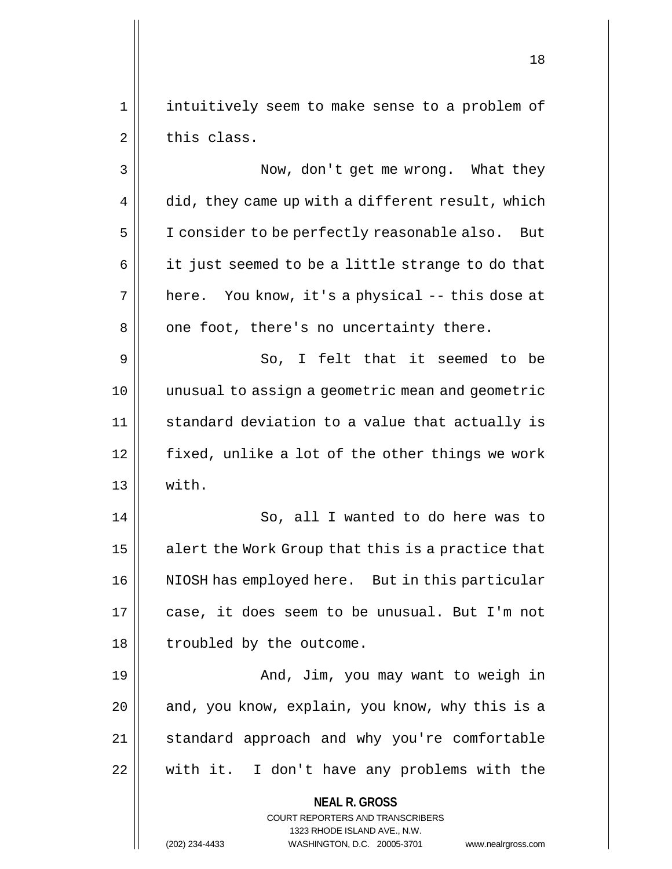1 || intuitively seem to make sense to a problem of  $2 \parallel$  this class.

3 | Now, don't get me wrong. What they  $4 \parallel$  did, they came up with a different result, which 5 | I consider to be perfectly reasonable also. But  $6 \parallel$  it just seemed to be a little strange to do that  $7 \parallel$  here. You know, it's a physical -- this dose at  $8 \parallel$  one foot, there's no uncertainty there.  $9 \parallel$  So, I felt that it seemed to be 10 unusual to assign a geometric mean and geometric

11 || standard deviation to a value that actually is 12 fixed, unlike a lot of the other things we work 13 with.

14 || So, all I wanted to do here was to  $15$  alert the Work Group that this is a practice that 16 || NIOSH has employed here. But in this particular 17 case, it does seem to be unusual. But I'm not 18 || troubled by the outcome.

 And, Jim, you may want to weigh in | and, you know, explain, you know, why this is a 21 || standard approach and why you're comfortable with it. I don't have any problems with the

> **NEAL R. GROSS** COURT REPORTERS AND TRANSCRIBERS

> > 1323 RHODE ISLAND AVE., N.W.

(202) 234-4433 WASHINGTON, D.C. 20005-3701 www.nealrgross.com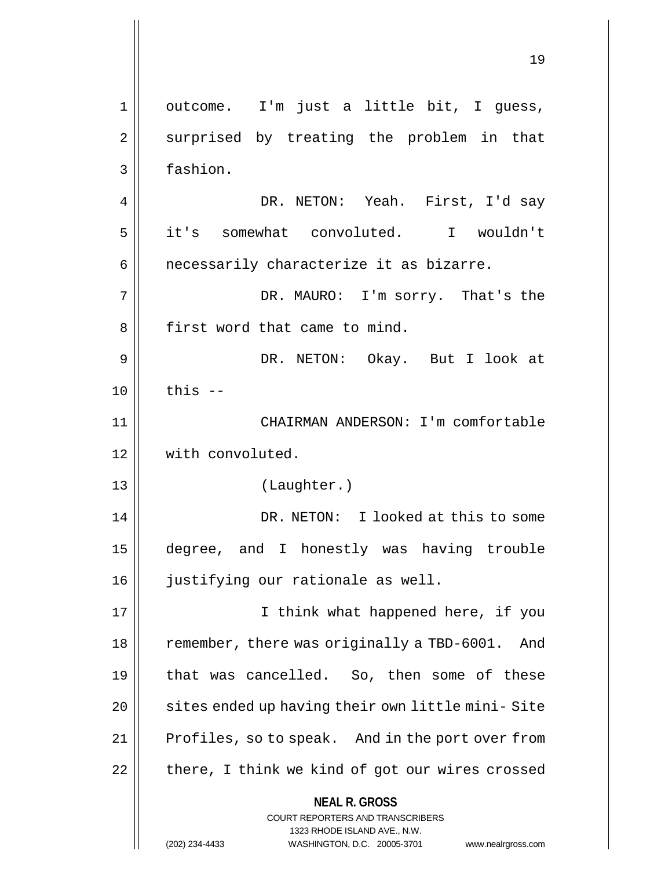**NEAL R. GROSS** COURT REPORTERS AND TRANSCRIBERS 1323 RHODE ISLAND AVE., N.W. (202) 234-4433 WASHINGTON, D.C. 20005-3701 www.nealrgross.com 1 || outcome. I'm just a little bit, I guess, 2 || surprised by treating the problem in that 3 fashion. 4 DR. NETON: Yeah. First, I'd say 5 it's somewhat convoluted. I wouldn't  $6 \parallel$  necessarily characterize it as bizarre. 7 DR. MAURO: I'm sorry. That's the 8 || first word that came to mind. 9 DR. NETON: Okay. But I look at  $10 \parallel$  this  $-$ 11 CHAIRMAN ANDERSON: I'm comfortable 12 with convoluted. 13 (Laughter.) 14 DR. NETON: I looked at this to some 15 degree, and I honestly was having trouble 16 || justifying our rationale as well. 17 || Think what happened here, if you 18 | remember, there was originally a TBD-6001. And 19 || that was cancelled. So, then some of these 20 | sites ended up having their own little mini-Site 21 | Profiles, so to speak. And in the port over from  $22$  | there, I think we kind of got our wires crossed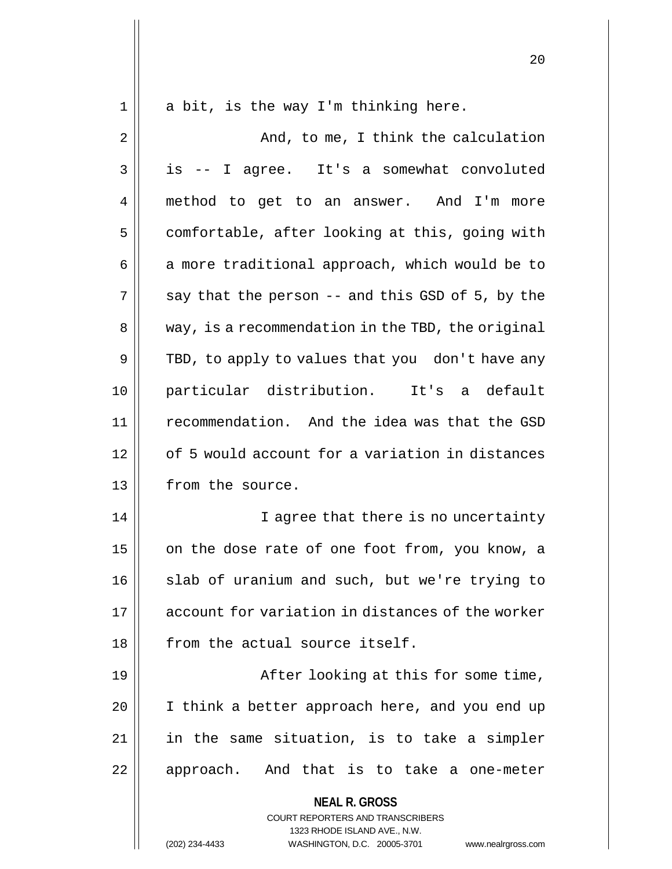1 || a bit, is the way I'm thinking here.

**NEAL R. GROSS** COURT REPORTERS AND TRANSCRIBERS 2 And, to me, I think the calculation  $3 \parallel$  is -- I agree. It's a somewhat convoluted 4 method to get to an answer. And I'm more  $5 \parallel$  comfortable, after looking at this, going with  $6 \parallel$  a more traditional approach, which would be to  $7 \parallel$  say that the person -- and this GSD of 5, by the  $8 \parallel$  way, is a recommendation in the TBD, the original  $9 \parallel$  TBD, to apply to values that you don't have any 10 particular distribution. It's a default 11 recommendation. And the idea was that the GSD 12 | of 5 would account for a variation in distances 13 | from the source. 14 || I agree that there is no uncertainty 15  $\parallel$  on the dose rate of one foot from, you know, a 16 || slab of uranium and such, but we're trying to 17 account for variation in distances of the worker  $18$  || from the actual source itself. 19 || After looking at this for some time, 20 || I think a better approach here, and you end up 21 in the same situation, is to take a simpler 22 || approach. And that is to take a one-meter

1323 RHODE ISLAND AVE., N.W.

(202) 234-4433 WASHINGTON, D.C. 20005-3701 www.nealrgross.com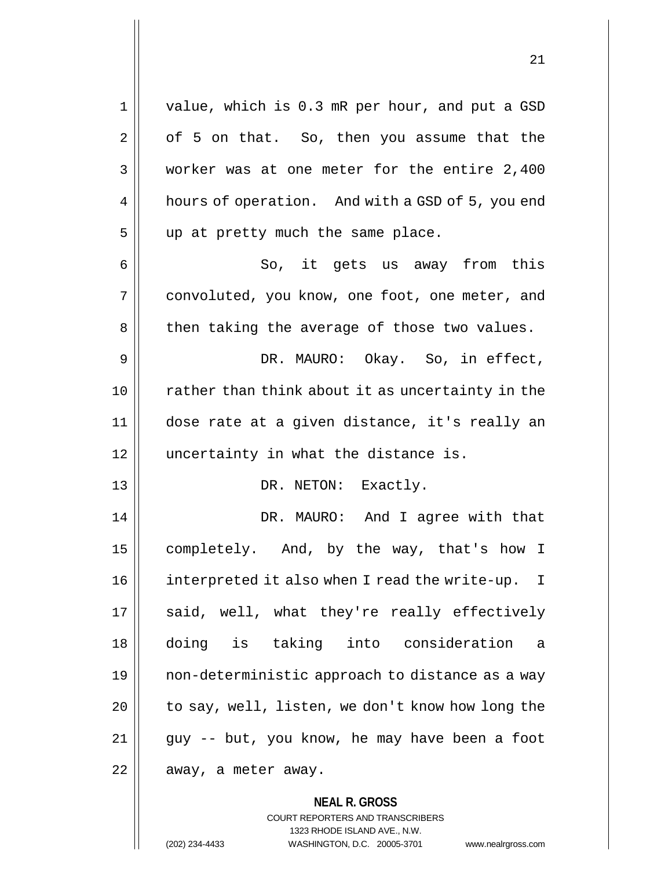**NEAL R. GROSS** 1 || value, which is 0.3 mR per hour, and put a GSD  $2 \parallel$  of 5 on that. So, then you assume that the 3 worker was at one meter for the entire 2,400 4 | hours of operation. And with a GSD of 5, you end  $5$  || up at pretty much the same place. 6 So, it gets us away from this 7 convoluted, you know, one foot, one meter, and 8 | then taking the average of those two values. 9 DR. MAURO: Okay. So, in effect, 10 || rather than think about it as uncertainty in the 11 dose rate at a given distance, it's really an 12 || uncertainty in what the distance is. 13 || DR. NETON: Exactly. 14 DR. MAURO: And I agree with that 15 | completely. And, by the way, that's how I 16 | interpreted it also when I read the write-up. I 17 || said, well, what they're really effectively 18 doing is taking into consideration a 19 non-deterministic approach to distance as a way 20 || to say, well, listen, we don't know how long the  $21$  || guy -- but, you know, he may have been a foot  $22$  | away, a meter away.

> COURT REPORTERS AND TRANSCRIBERS 1323 RHODE ISLAND AVE., N.W.

(202) 234-4433 WASHINGTON, D.C. 20005-3701 www.nealrgross.com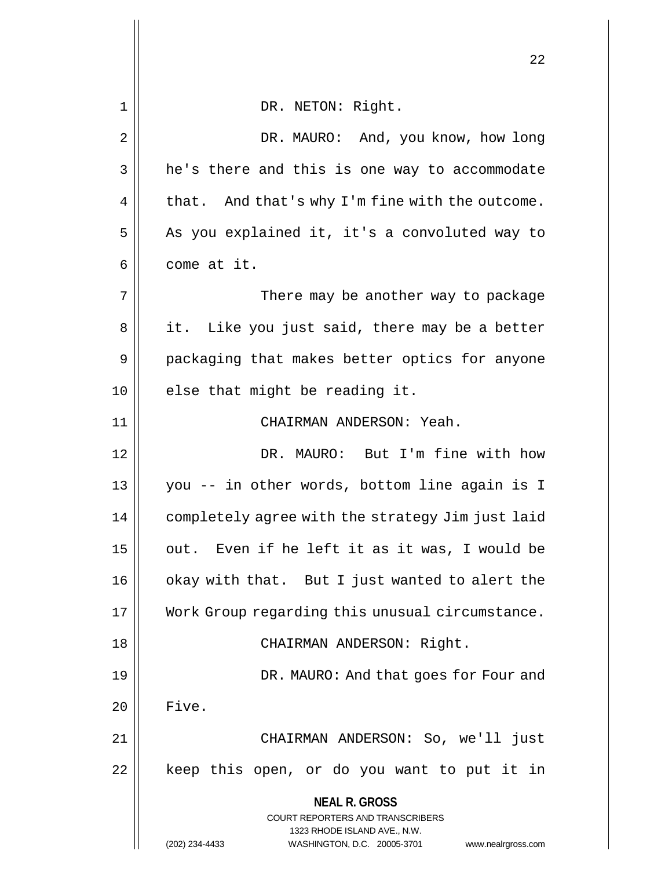|             | 22                                                                                                                                                                     |
|-------------|------------------------------------------------------------------------------------------------------------------------------------------------------------------------|
| $\mathbf 1$ | DR. NETON: Right.                                                                                                                                                      |
| $\mathbf 2$ | DR. MAURO: And, you know, how long                                                                                                                                     |
| 3           | he's there and this is one way to accommodate                                                                                                                          |
| 4           | that. And that's why I'm fine with the outcome.                                                                                                                        |
| 5           | As you explained it, it's a convoluted way to                                                                                                                          |
| 6           | come at it.                                                                                                                                                            |
| 7           | There may be another way to package                                                                                                                                    |
| 8           | it.  Like you just said, there may be a better                                                                                                                         |
| 9           | packaging that makes better optics for anyone                                                                                                                          |
| 10          | else that might be reading it.                                                                                                                                         |
| 11          | CHAIRMAN ANDERSON: Yeah.                                                                                                                                               |
| 12          | DR. MAURO: But I'm fine with how                                                                                                                                       |
| 13          | you -- in other words, bottom line again is I                                                                                                                          |
| 14          | completely agree with the strategy Jim just laid                                                                                                                       |
| 15          | out. Even if he left it as it was, I would be                                                                                                                          |
| 16          | okay with that. But I just wanted to alert the                                                                                                                         |
| 17          | Work Group regarding this unusual circumstance.                                                                                                                        |
| 18          | CHAIRMAN ANDERSON: Right.                                                                                                                                              |
| 19          | DR. MAURO: And that goes for Four and                                                                                                                                  |
| 20          | Five.                                                                                                                                                                  |
| 21          | CHAIRMAN ANDERSON: So, we'll just                                                                                                                                      |
| 22          | keep this open, or do you want to put it in                                                                                                                            |
|             | <b>NEAL R. GROSS</b><br><b>COURT REPORTERS AND TRANSCRIBERS</b><br>1323 RHODE ISLAND AVE., N.W.<br>(202) 234-4433<br>WASHINGTON, D.C. 20005-3701<br>www.nealrgross.com |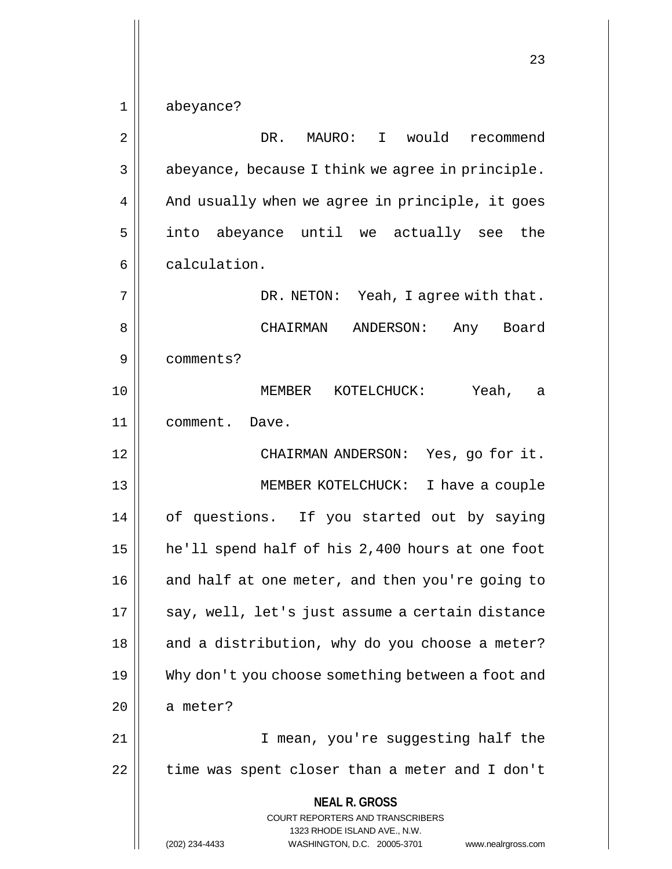**NEAL R. GROSS** COURT REPORTERS AND TRANSCRIBERS 1323 RHODE ISLAND AVE., N.W. 1 abeyance? 2 | DR. MAURO: I would recommend  $3 \parallel$  abeyance, because I think we agree in principle.  $4 \parallel$  And usually when we agree in principle, it goes 5 || into abeyance until we actually see the  $6 \parallel$  calculation. 7 DR. NETON: Yeah, I agree with that. 8 CHAIRMAN ANDERSON: Any Board 9 comments? 10 MEMBER KOTELCHUCK: Yeah, a 11 comment. Dave. 12 CHAIRMAN ANDERSON: Yes, go for it. 13 MEMBER KOTELCHUCK: I have a couple 14 of questions. If you started out by saying 15 he'll spend half of his 2,400 hours at one foot  $16$  and half at one meter, and then you're going to  $17$  || say, well, let's just assume a certain distance  $18$  || and a distribution, why do you choose a meter? 19 Why don't you choose something between a foot and  $20$  a meter? 21 || I mean, you're suggesting half the 22 | time was spent closer than a meter and I don't

(202) 234-4433 WASHINGTON, D.C. 20005-3701 www.nealrgross.com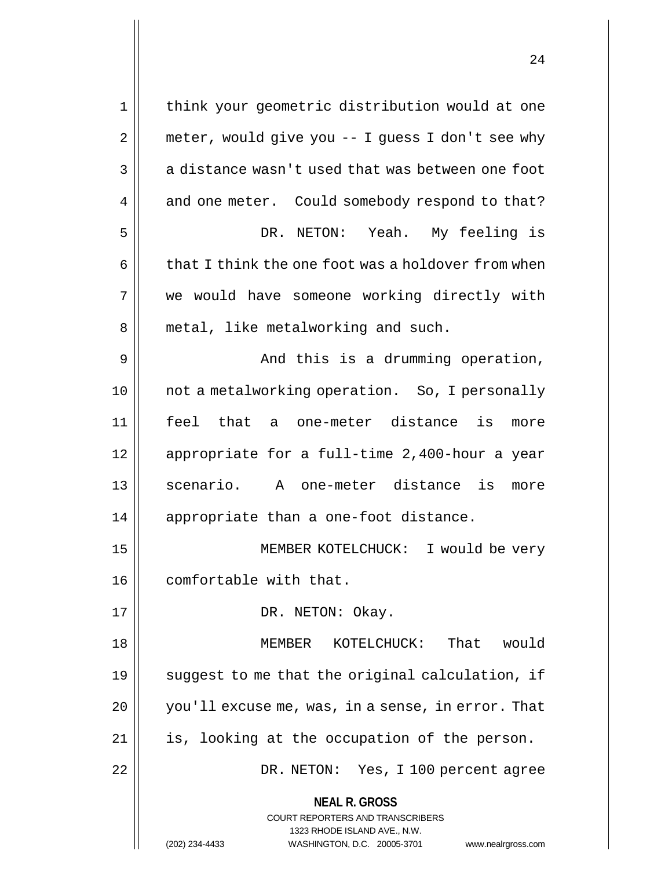| 1              | think your geometric distribution would at one                      |
|----------------|---------------------------------------------------------------------|
| $\overline{2}$ | meter, would give you -- I guess I don't see why                    |
| 3              | a distance wasn't used that was between one foot                    |
| 4              | and one meter. Could somebody respond to that?                      |
| 5              | DR. NETON: Yeah. My feeling is                                      |
| 6              | that I think the one foot was a holdover from when                  |
| 7              | we would have someone working directly with                         |
| 8              | metal, like metalworking and such.                                  |
| 9              | And this is a drumming operation,                                   |
| 10             | not a metalworking operation. So, I personally                      |
| 11             | feel that a one-meter distance is more                              |
|                |                                                                     |
| 12             | appropriate for a full-time 2,400-hour a year                       |
| 13             | scenario. A one-meter distance is<br>more                           |
| 14             | appropriate than a one-foot distance.                               |
| 15             | MEMBER KOTELCHUCK: I would be very                                  |
| 16             | comfortable with that.                                              |
| 17             | DR. NETON: Okay.                                                    |
| 18             | MEMBER KOTELCHUCK: That<br>would                                    |
| 19             | suggest to me that the original calculation, if                     |
| 20             | you'll excuse me, was, in a sense, in error. That                   |
| 21             | is, looking at the occupation of the person.                        |
| 22             | DR. NETON: Yes, I 100 percent agree                                 |
|                | <b>NEAL R. GROSS</b>                                                |
|                | COURT REPORTERS AND TRANSCRIBERS                                    |
|                | 1323 RHODE ISLAND AVE., N.W.                                        |
|                | (202) 234-4433<br>WASHINGTON, D.C. 20005-3701<br>www.nealrgross.com |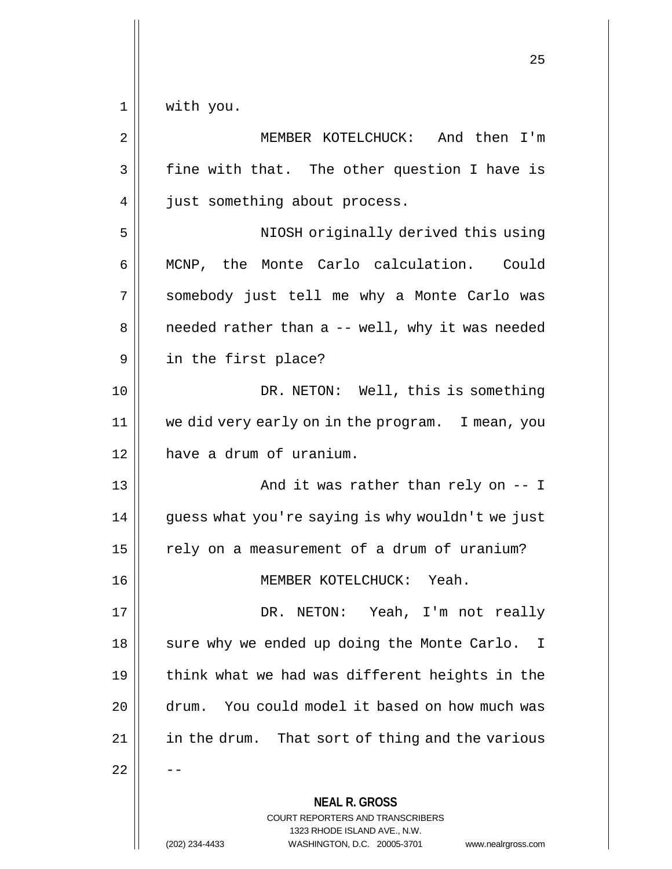1 || with you.

**NEAL R. GROSS** COURT REPORTERS AND TRANSCRIBERS 1323 RHODE ISLAND AVE., N.W. 2 | MEMBER KOTELCHUCK: And then I'm  $3 \parallel$  fine with that. The other question I have is 4 | just something about process. 5 || NIOSH originally derived this using 6 MCNP, the Monte Carlo calculation. Could 7 somebody just tell me why a Monte Carlo was  $8 \parallel$  needed rather than a -- well, why it was needed 9 in the first place? 10 || DR. NETON: Well, this is something 11 we did very early on in the program. I mean, you 12 have a drum of uranium. 13 || And it was rather than rely on -- I 14 | guess what you're saying is why wouldn't we just  $15$   $\parallel$  rely on a measurement of a drum of uranium? 16 MEMBER KOTELCHUCK: Yeah. 17 DR. NETON: Yeah, I'm not really 18 || sure why we ended up doing the Monte Carlo. I 19  $\parallel$  think what we had was different heights in the 20 || drum. You could model it based on how much was 21 | in the drum. That sort of thing and the various  $22$ 

(202) 234-4433 WASHINGTON, D.C. 20005-3701 www.nealrgross.com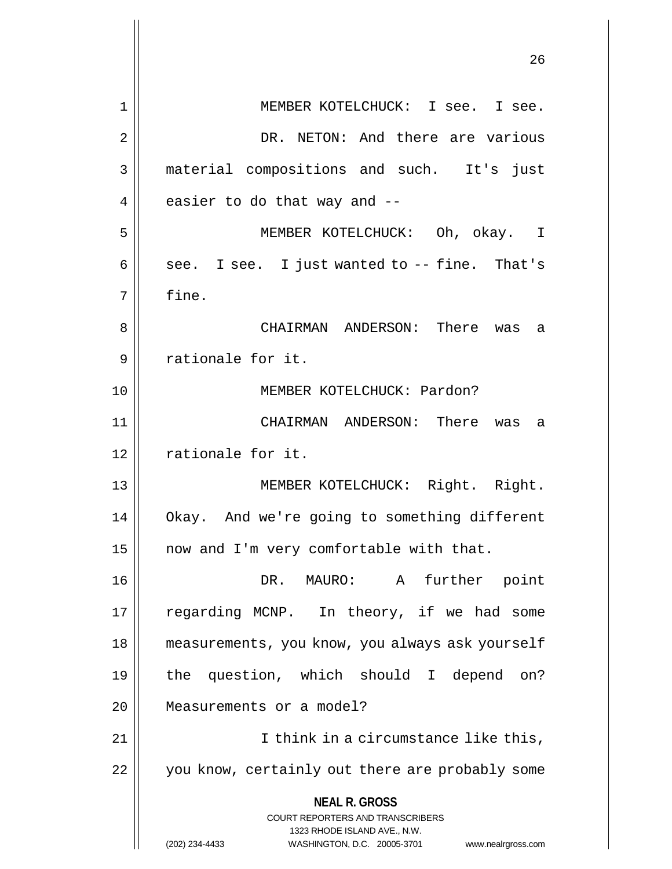|                | 26                                                                                                                                                           |
|----------------|--------------------------------------------------------------------------------------------------------------------------------------------------------------|
| 1              | MEMBER KOTELCHUCK: I see. I see.                                                                                                                             |
| $\overline{2}$ | DR. NETON: And there are various                                                                                                                             |
| 3              | material compositions and such. It's just                                                                                                                    |
| 4              | easier to do that way and --                                                                                                                                 |
| 5              | MEMBER KOTELCHUCK: Oh, okay. I                                                                                                                               |
| 6              | see. I see. I just wanted to -- fine. That's                                                                                                                 |
| 7              | fine.                                                                                                                                                        |
| 8              | CHAIRMAN ANDERSON: There was<br>а                                                                                                                            |
| 9              | rationale for it.                                                                                                                                            |
| 10             | MEMBER KOTELCHUCK: Pardon?                                                                                                                                   |
| 11             | CHAIRMAN ANDERSON: There was<br>а                                                                                                                            |
| 12             | rationale for it.                                                                                                                                            |
| 13             | MEMBER KOTELCHUCK: Right. Right.                                                                                                                             |
| 14             | Okay. And we're going to something different                                                                                                                 |
| 15             | now and I'm very comfortable with that.                                                                                                                      |
| 16             | DR. MAURO: A<br>further point                                                                                                                                |
| 17             | regarding MCNP. In theory, if we had some                                                                                                                    |
| 18             | measurements, you know, you always ask yourself                                                                                                              |
| 19             | the question, which should I depend on?                                                                                                                      |
| 20             | Measurements or a model?                                                                                                                                     |
| 21             | I think in a circumstance like this,                                                                                                                         |
| 22             | you know, certainly out there are probably some                                                                                                              |
|                | <b>NEAL R. GROSS</b><br>COURT REPORTERS AND TRANSCRIBERS<br>1323 RHODE ISLAND AVE., N.W.<br>(202) 234-4433<br>WASHINGTON, D.C. 20005-3701 www.nealrgross.com |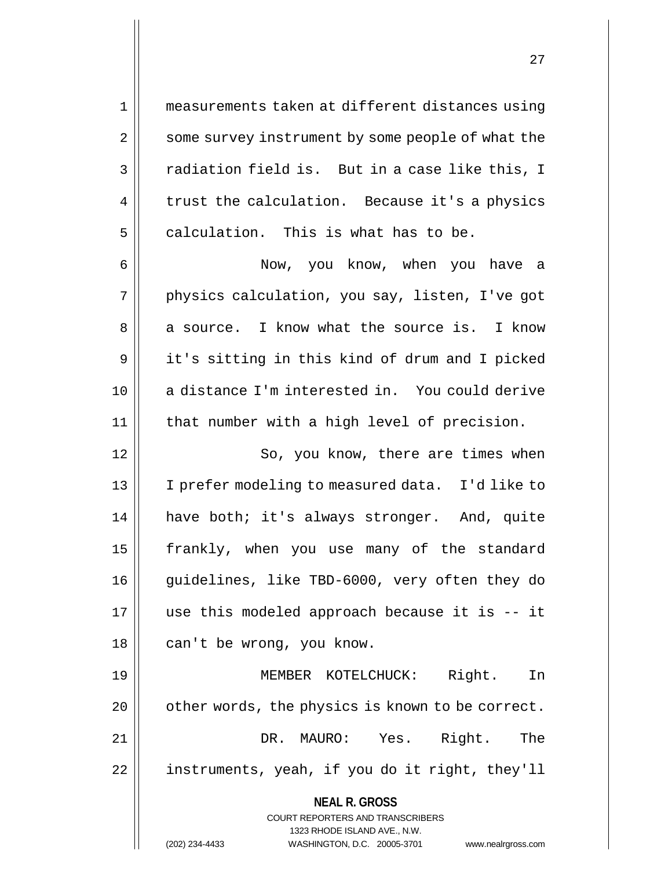1 measurements taken at different distances using 2 | some survey instrument by some people of what the  $3 \parallel$  radiation field is. But in a case like this, I  $4 \parallel$  trust the calculation. Because it's a physics  $5$  calculation. This is what has to be.

6 Now, you know, when you have a 7 || physics calculation, you say, listen, I've got  $8 \parallel$  a source. I know what the source is. I know 9 || it's sitting in this kind of drum and I picked 10 a distance I'm interested in. You could derive 11 that number with a high level of precision.

12 || So, you know, there are times when 13 I prefer modeling to measured data. I'd like to 14 have both; it's always stronger. And, quite 15 || frankly, when you use many of the standard 16 || guidelines, like TBD-6000, very often they do 17 use this modeled approach because it is -- it 18 || can't be wrong, you know.

19 MEMBER KOTELCHUCK: Right. In 20 | other words, the physics is known to be correct. 21 DR. MAURO: Yes. Right. The 22 || instruments, yeah, if you do it right, they'll

**NEAL R. GROSS**

COURT REPORTERS AND TRANSCRIBERS 1323 RHODE ISLAND AVE., N.W. (202) 234-4433 WASHINGTON, D.C. 20005-3701 www.nealrgross.com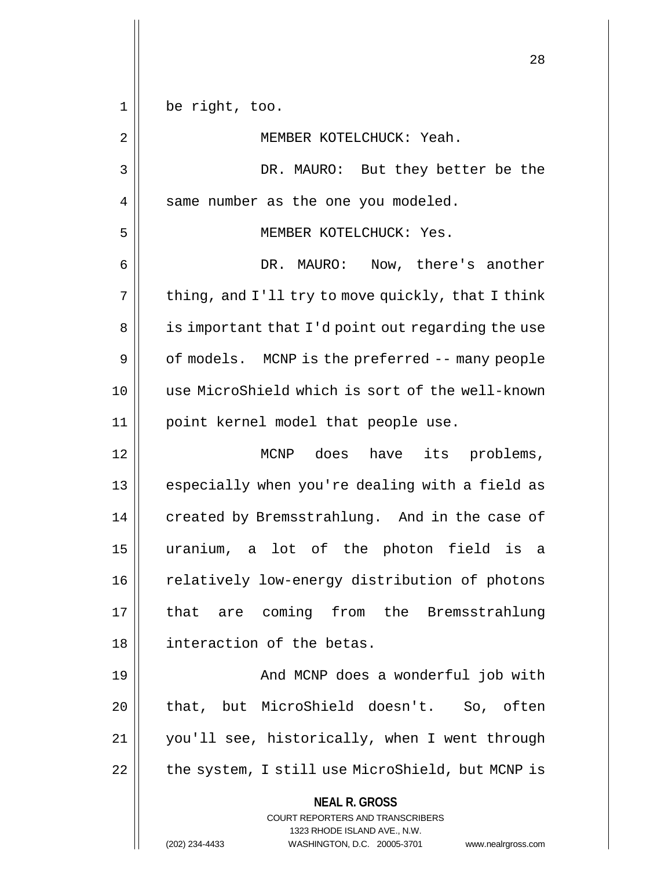| 1  | be right, too.                                                                                                                                                         |
|----|------------------------------------------------------------------------------------------------------------------------------------------------------------------------|
| 2  | MEMBER KOTELCHUCK: Yeah.                                                                                                                                               |
| 3  | DR. MAURO: But they better be the                                                                                                                                      |
| 4  | same number as the one you modeled.                                                                                                                                    |
| 5  | MEMBER KOTELCHUCK: Yes.                                                                                                                                                |
| 6  | DR. MAURO:<br>Now, there's another                                                                                                                                     |
| 7  | thing, and I'll try to move quickly, that I think                                                                                                                      |
| 8  | is important that I'd point out regarding the use                                                                                                                      |
| 9  | of models. MCNP is the preferred -- many people                                                                                                                        |
| 10 | use MicroShield which is sort of the well-known                                                                                                                        |
| 11 | point kernel model that people use.                                                                                                                                    |
| 12 | MCNP does have its problems,                                                                                                                                           |
| 13 | especially when you're dealing with a field as                                                                                                                         |
| 14 | created by Bremsstrahlung. And in the case of                                                                                                                          |
| 15 | uranium, a lot of the photon field<br>is<br>a                                                                                                                          |
| 16 | relatively low-energy distribution of photons                                                                                                                          |
| 17 | are coming from the Bremsstrahlung<br>that                                                                                                                             |
| 18 | interaction of the betas.                                                                                                                                              |
| 19 | And MCNP does a wonderful job with                                                                                                                                     |
| 20 | that, but MicroShield doesn't. So, often                                                                                                                               |
| 21 | you'll see, historically, when I went through                                                                                                                          |
| 22 | the system, I still use MicroShield, but MCNP is                                                                                                                       |
|    | <b>NEAL R. GROSS</b><br><b>COURT REPORTERS AND TRANSCRIBERS</b><br>1323 RHODE ISLAND AVE., N.W.<br>(202) 234-4433<br>WASHINGTON, D.C. 20005-3701<br>www.nealrgross.com |

 $\mathbf{1}$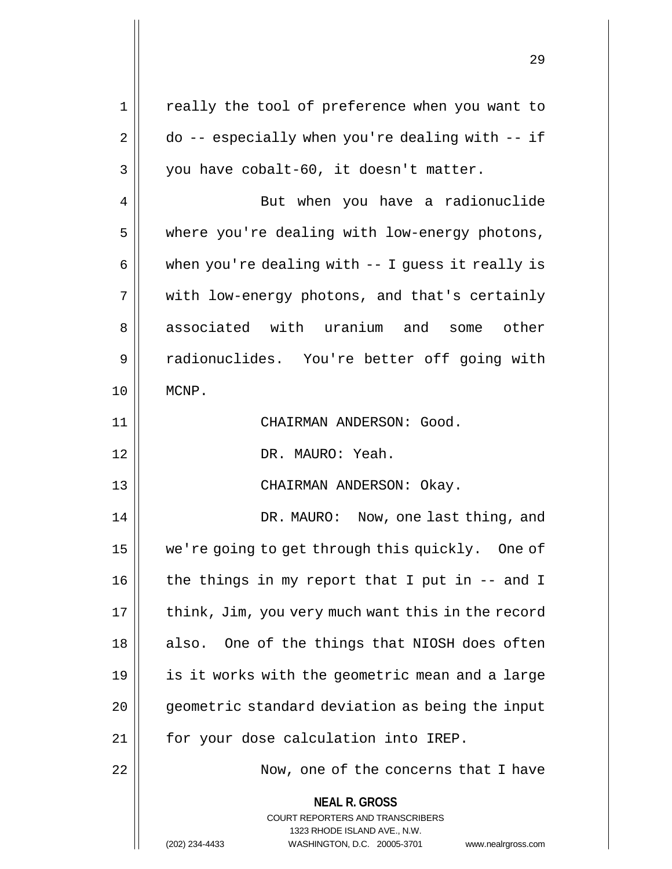| 1  | really the tool of preference when you want to                                                                                                                         |
|----|------------------------------------------------------------------------------------------------------------------------------------------------------------------------|
| 2  | $do -- especially when you're dealing with -- if$                                                                                                                      |
| 3  | you have cobalt-60, it doesn't matter.                                                                                                                                 |
| 4  | But when you have a radionuclide                                                                                                                                       |
| 5  | where you're dealing with low-energy photons,                                                                                                                          |
| 6  | when you're dealing with -- I guess it really is                                                                                                                       |
| 7  | with low-energy photons, and that's certainly                                                                                                                          |
| 8  | associated with uranium and some other                                                                                                                                 |
| 9  | radionuclides. You're better off going with                                                                                                                            |
| 10 | MCNP.                                                                                                                                                                  |
| 11 | CHAIRMAN ANDERSON: Good.                                                                                                                                               |
| 12 | DR. MAURO: Yeah.                                                                                                                                                       |
| 13 | CHAIRMAN ANDERSON: Okay.                                                                                                                                               |
| 14 | DR. MAURO: Now, one last thing, and                                                                                                                                    |
| 15 | we're going to get through this quickly. One of                                                                                                                        |
| 16 | the things in my report that I put in $-$ and I                                                                                                                        |
| 17 | think, Jim, you very much want this in the record                                                                                                                      |
| 18 | also. One of the things that NIOSH does often                                                                                                                          |
| 19 | is it works with the geometric mean and a large                                                                                                                        |
| 20 | geometric standard deviation as being the input                                                                                                                        |
| 21 | for your dose calculation into IREP.                                                                                                                                   |
| 22 | Now, one of the concerns that I have                                                                                                                                   |
|    | <b>NEAL R. GROSS</b><br><b>COURT REPORTERS AND TRANSCRIBERS</b><br>1323 RHODE ISLAND AVE., N.W.<br>WASHINGTON, D.C. 20005-3701<br>(202) 234-4433<br>www.nealrgross.com |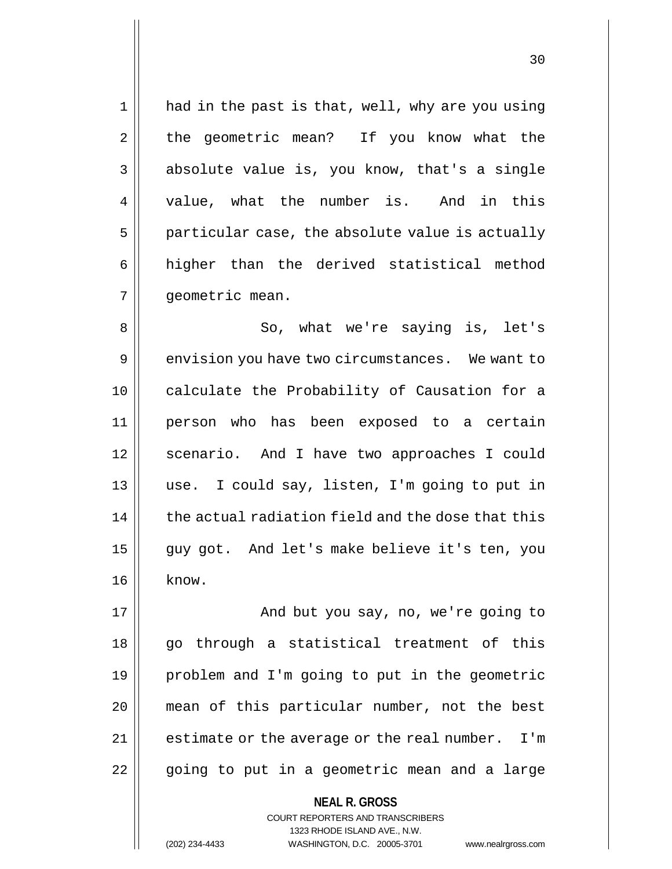1 || had in the past is that, well, why are you using 2 | the geometric mean? If you know what the  $3 \parallel$  absolute value is, you know, that's a single 4 || value, what the number is. And in this  $5$  | particular case, the absolute value is actually 6 || higher than the derived statistical method 7 | qeometric mean.

8 So, what we're saying is, let's 9 envision you have two circumstances. We want to 10 calculate the Probability of Causation for a 11 person who has been exposed to a certain 12 || scenario. And I have two approaches I could 13 use. I could say, listen, I'm going to put in  $14$   $\parallel$  the actual radiation field and the dose that this 15 || guy got. And let's make believe it's ten, you  $16 \parallel$  know.

17 || And but you say, no, we're going to 18 || go through a statistical treatment of this 19 problem and I'm going to put in the geometric 20 mean of this particular number, not the best  $21$  | estimate or the average or the real number. I'm 22 || going to put in a geometric mean and a large

COURT REPORTERS AND TRANSCRIBERS

**NEAL R. GROSS**

1323 RHODE ISLAND AVE., N.W.

(202) 234-4433 WASHINGTON, D.C. 20005-3701 www.nealrgross.com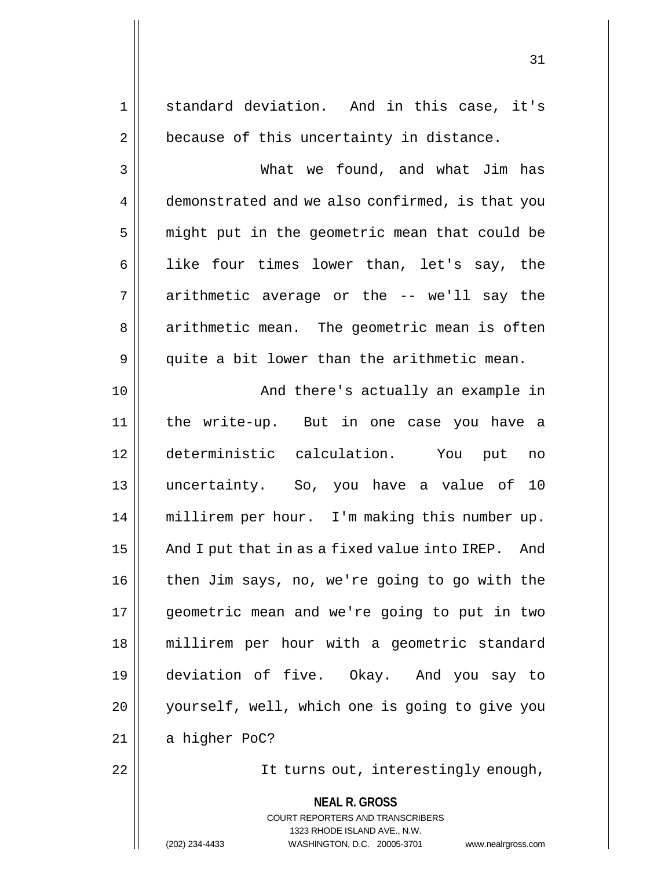**NEAL R. GROSS** COURT REPORTERS AND TRANSCRIBERS 1323 RHODE ISLAND AVE., N.W. 1 || standard deviation. And in this case, it's  $2 \parallel$  because of this uncertainty in distance. 3 What we found, and what Jim has 4 demonstrated and we also confirmed, is that you 5 || might put in the geometric mean that could be 6 || like four times lower than, let's say, the  $7 \parallel$  arithmetic average or the -- we'll say the 8 || arithmetic mean. The geometric mean is often  $9 \parallel$  quite a bit lower than the arithmetic mean. 10 || And there's actually an example in 11 the write-up. But in one case you have a 12 deterministic calculation. You put no 13 uncertainty. So, you have a value of 10 14 millirem per hour. I'm making this number up. 15  $\parallel$  And I put that in as a fixed value into IREP. And 16 then Jim says, no, we're going to go with the 17 geometric mean and we're going to put in two 18 millirem per hour with a geometric standard 19 deviation of five. Okay. And you say to 20 yourself, well, which one is going to give you  $21$  | a higher PoC? 22 || It turns out, interestingly enough,

(202) 234-4433 WASHINGTON, D.C. 20005-3701 www.nealrgross.com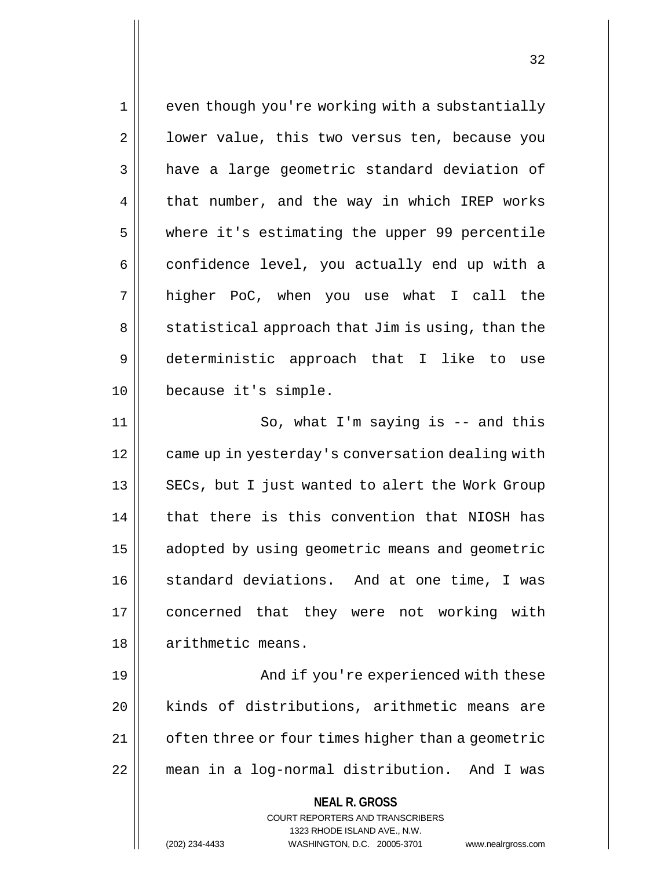1 || even though you're working with a substantially  $2 \parallel$  lower value, this two versus ten, because you 3 | have a large geometric standard deviation of  $4 \parallel$  that number, and the way in which IREP works 5 where it's estimating the upper 99 percentile 6 confidence level, you actually end up with a 7 higher PoC, when you use what I call the 8 || statistical approach that Jim is using, than the 9 deterministic approach that I like to use 10 because it's simple. 11 || So, what I'm saying is -- and this 12 | came up in yesterday's conversation dealing with 13 || SECs, but I just wanted to alert the Work Group 14 that there is this convention that NIOSH has 15 | adopted by using geometric means and geometric 16 || standard deviations. And at one time, I was 17 || concerned that they were not working with 18 | arithmetic means. 19 And if you're experienced with these 20 | kinds of distributions, arithmetic means are

21 | often three or four times higher than a geometric 22 mean in a log-normal distribution. And I was

> **NEAL R. GROSS** COURT REPORTERS AND TRANSCRIBERS 1323 RHODE ISLAND AVE., N.W. (202) 234-4433 WASHINGTON, D.C. 20005-3701 www.nealrgross.com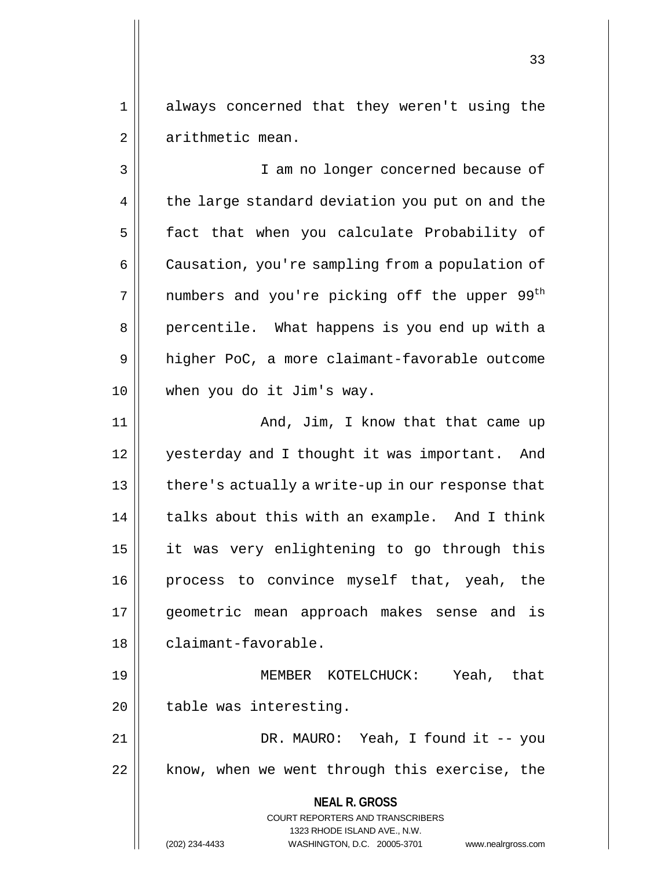1 always concerned that they weren't using the 2 | arithmetic mean.

3 || I am no longer concerned because of 4 the large standard deviation you put on and the 5 | fact that when you calculate Probability of 6 | Causation, you're sampling from a population of  $7$  || numbers and you're picking off the upper 99<sup>th</sup> 8 || percentile. What happens is you end up with a 9 | higher PoC, a more claimant-favorable outcome 10 when you do it Jim's way.

11 || And, Jim, I know that that came up 12 || yesterday and I thought it was important. And | there's actually a write-up in our response that | talks about this with an example. And I think it was very enlightening to go through this process to convince myself that, yeah, the geometric mean approach makes sense and is 18 | claimant-favorable.

19 MEMBER KOTELCHUCK: Yeah, that 20 || table was interesting.

21 | DR. MAURO: Yeah, I found it -- you 22 || know, when we went through this exercise, the

**NEAL R. GROSS**

COURT REPORTERS AND TRANSCRIBERS 1323 RHODE ISLAND AVE., N.W. (202) 234-4433 WASHINGTON, D.C. 20005-3701 www.nealrgross.com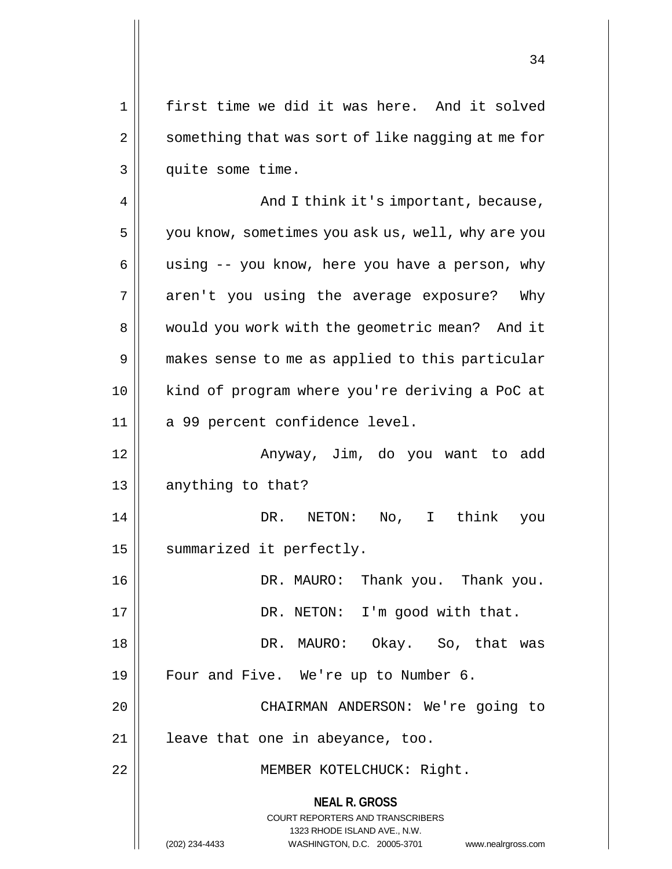1 || first time we did it was here. And it solved 2 | something that was sort of like nagging at me for 3 || quite some time.

4 And I think it's important, because, 5 | you know, sometimes you ask us, well, why are you 6 || using  $-$  you know, here you have a person, why 7 || aren't you using the average exposure? Why 8 | would you work with the geometric mean? And it 9 || makes sense to me as applied to this particular 10 kind of program where you're deriving a PoC at 11 || a 99 percent confidence level. 12 Anyway, Jim, do you want to add 13 || anything to that? 14 DR. NETON: No, I think you

15 | summarized it perfectly.

16 DR. MAURO: Thank you. Thank you. 17 || DR. NETON: I'm good with that. 18 DR. MAURO: Okay. So, that was

19 || Four and Five. We're up to Number 6.

20 || CHAIRMAN ANDERSON: We're going to 21 || leave that one in abeyance, too.

22 || MEMBER KOTELCHUCK: Right.

**NEAL R. GROSS**

COURT REPORTERS AND TRANSCRIBERS 1323 RHODE ISLAND AVE., N.W. (202) 234-4433 WASHINGTON, D.C. 20005-3701 www.nealrgross.com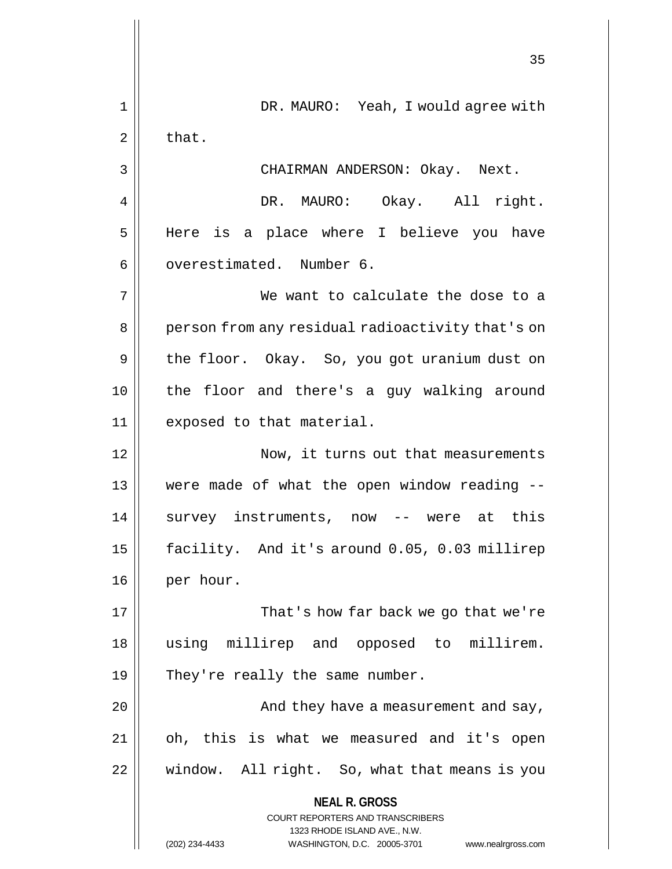**NEAL R. GROSS** COURT REPORTERS AND TRANSCRIBERS 1323 RHODE ISLAND AVE., N.W. (202) 234-4433 WASHINGTON, D.C. 20005-3701 www.nealrgross.com 35 1 DR. MAURO: Yeah, I would agree with  $2 \parallel$  that. 3 || CHAIRMAN ANDERSON: Okay. Next. 4 | DR. MAURO: Okay. All right. 5 Here is a place where I believe you have 6 | overestimated. Number 6. 7 We want to calculate the dose to a 8 || person from any residual radioactivity that's on 9 || the floor. Okay. So, you got uranium dust on 10 the floor and there's a guy walking around 11 exposed to that material. 12 | Now, it turns out that measurements 13 were made of what the open window reading -- 14 Survey instruments, now -- were at this 15 facility. And it's around 0.05, 0.03 millirep 16 || per hour. 17 || That's how far back we go that we're 18 using millirep and opposed to millirem. 19  $\parallel$  They're really the same number. 20 And they have a measurement and say, 21 oh, this is what we measured and it's open  $22$  | window. All right. So, what that means is you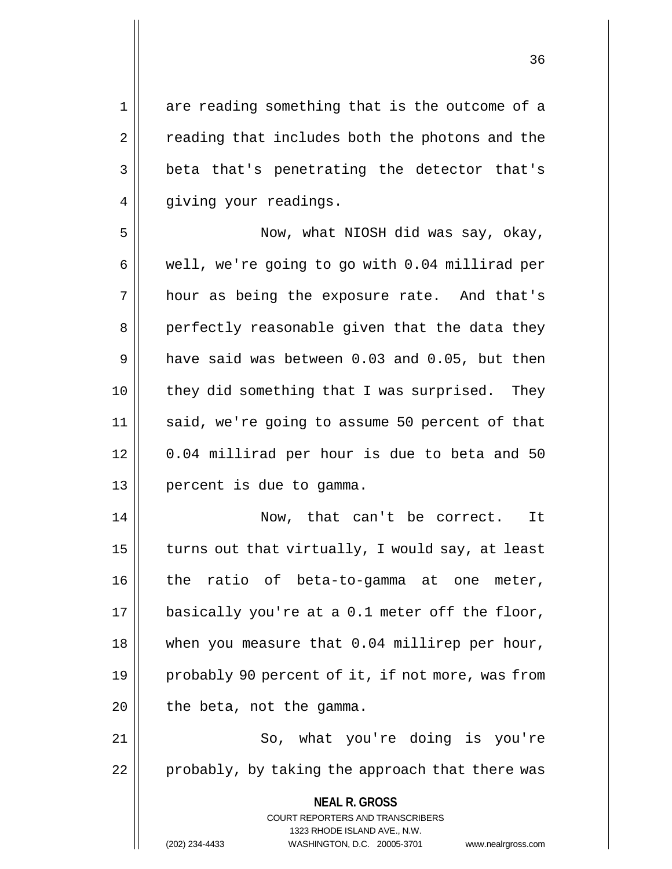1 are reading something that is the outcome of a 2 || reading that includes both the photons and the 3 beta that's penetrating the detector that's 4 || giving your readings.

5 Now, what NIOSH did was say, okay,  $6 \parallel$  well, we're going to go with 0.04 millirad per 7 || hour as being the exposure rate. And that's 8 || perfectly reasonable given that the data they  $9 \parallel$  have said was between 0.03 and 0.05, but then 10 || they did something that I was surprised. They 11 || said, we're going to assume 50 percent of that 12 0.04 millirad per hour is due to beta and 50 13 percent is due to gamma.

 Now, that can't be correct. It  $\parallel$  turns out that virtually, I would say, at least the ratio of beta-to-gamma at one meter, | basically you're at a 0.1 meter off the floor, 18 || when you measure that 0.04 millirep per hour, 19 || probably 90 percent of it, if not more, was from || the beta, not the gamma.

21 || So, what you're doing is you're  $22$  | probably, by taking the approach that there was

> **NEAL R. GROSS** COURT REPORTERS AND TRANSCRIBERS 1323 RHODE ISLAND AVE., N.W. (202) 234-4433 WASHINGTON, D.C. 20005-3701 www.nealrgross.com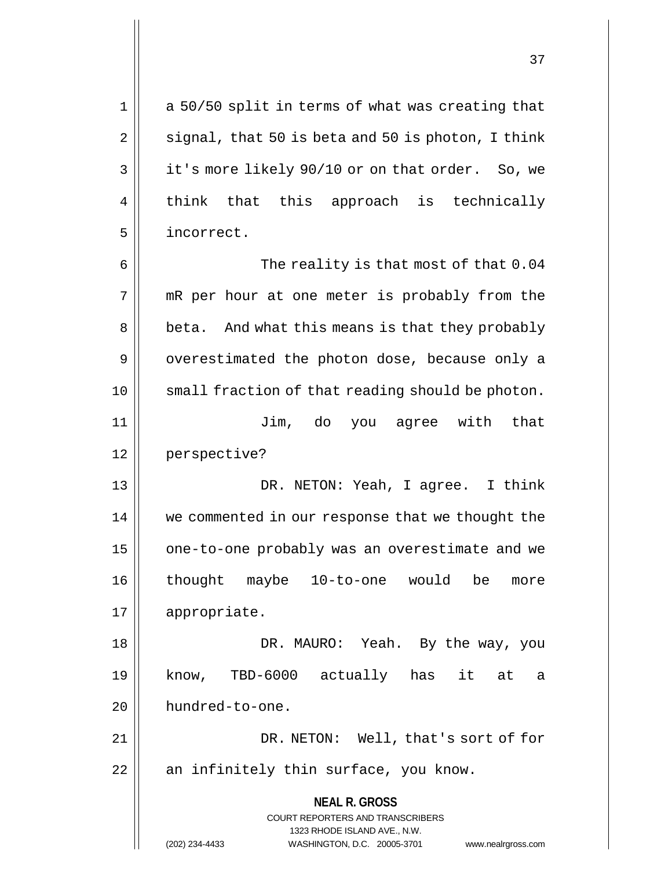$1 \parallel$  a 50/50 split in terms of what was creating that  $2 \parallel$  signal, that 50 is beta and 50 is photon, I think 3 | it's more likely 90/10 or on that order. So, we 4 || think that this approach is technically 5 incorrect.

6 || The reality is that most of that 0.04 7 || mR per hour at one meter is probably from the 8 | beta. And what this means is that they probably  $9 \parallel$  overestimated the photon dose, because only a 10 || small fraction of that reading should be photon. 11 Jim, do you agree with that 12 perspective? 13 DR. NETON: Yeah, I agree. I think 14 we commented in our response that we thought the 15 | one-to-one probably was an overestimate and we

16 thought maybe 10-to-one would be more 17 appropriate.

18 DR. MAURO: Yeah. By the way, you 19 know, TBD-6000 actually has it at a 20 | hundred-to-one.

21 DR. NETON: Well, that's sort of for  $22$  || an infinitely thin surface, you know.

> **NEAL R. GROSS** COURT REPORTERS AND TRANSCRIBERS

> > 1323 RHODE ISLAND AVE., N.W.

(202) 234-4433 WASHINGTON, D.C. 20005-3701 www.nealrgross.com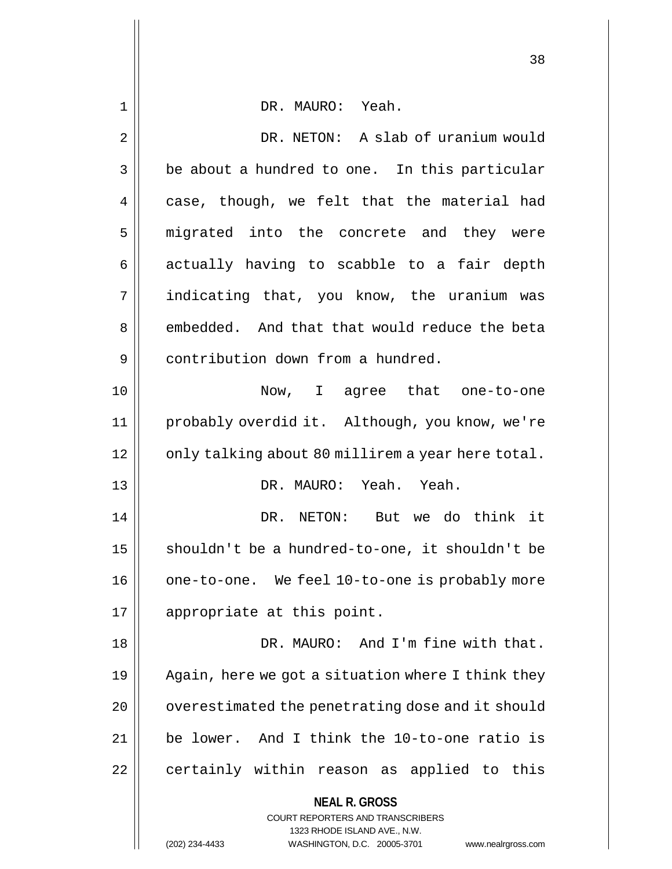| $\mathbf 1$ | DR. MAURO: Yeah.                                                        |
|-------------|-------------------------------------------------------------------------|
| 2           | DR. NETON: A slab of uranium would                                      |
| 3           | be about a hundred to one. In this particular                           |
| 4           | case, though, we felt that the material had                             |
| 5           | migrated into the concrete and they were                                |
| 6           | actually having to scabble to a fair depth                              |
| 7           | indicating that, you know, the uranium was                              |
| 8           | embedded. And that that would reduce the beta                           |
| 9           | contribution down from a hundred.                                       |
| 10          | Now, I agree that one-to-one                                            |
| 11          | probably overdid it. Although, you know, we're                          |
| 12          | only talking about 80 millirem a year here total.                       |
| 13          | DR. MAURO: Yeah. Yeah.                                                  |
| 14          | DR. NETON: But we do think it                                           |
| 15          | shouldn't be a hundred-to-one, it shouldn't be                          |
| 16          | one-to-one. We feel 10-to-one is probably more                          |
| 17          | appropriate at this point.                                              |
| 18          | DR. MAURO: And I'm fine with that.                                      |
| 19          | Again, here we got a situation where I think they                       |
| 20          | overestimated the penetrating dose and it should                        |
| 21          | be lower. And I think the 10-to-one ratio is                            |
| 22          | certainly within reason as applied to this                              |
|             | <b>NEAL R. GROSS</b>                                                    |
|             | <b>COURT REPORTERS AND TRANSCRIBERS</b><br>1323 RHODE ISLAND AVE., N.W. |
|             | WASHINGTON, D.C. 20005-3701<br>(202) 234-4433<br>www.nealrgross.com     |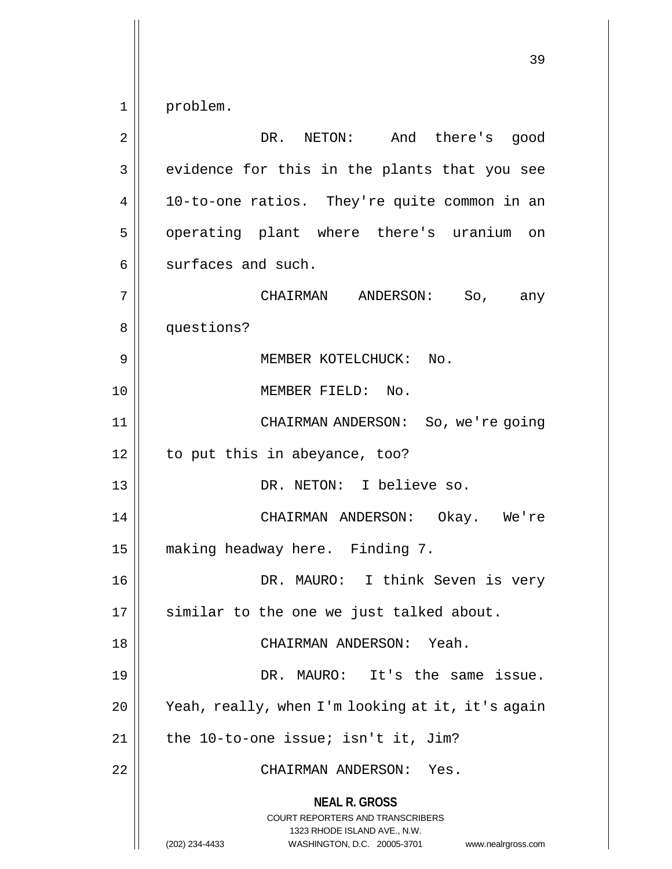**NEAL R. GROSS** COURT REPORTERS AND TRANSCRIBERS 1323 RHODE ISLAND AVE., N.W. (202) 234-4433 WASHINGTON, D.C. 20005-3701 www.nealrgross.com 1 problem. 2 || DR. NETON: And there's good 3 || evidence for this in the plants that you see 4 || 10-to-one ratios. They're quite common in an 5 | operating plant where there's uranium on  $6 \parallel$  surfaces and such. 7 CHAIRMAN ANDERSON: So, any 8 || questions? 9 MEMBER KOTELCHUCK: No. 10 MEMBER FIELD: No. 11 CHAIRMAN ANDERSON: So, we're going  $12 \parallel$  to put this in abeyance, too? 13 || DR. NETON: I believe so. 14 CHAIRMAN ANDERSON: Okay. We're 15 | making headway here. Finding 7. 16 DR. MAURO: I think Seven is very 17 || similar to the one we just talked about. 18 CHAIRMAN ANDERSON: Yeah. 19 DR. MAURO: It's the same issue. 20 Yeah, really, when I'm looking at it, it's again  $21$  | the 10-to-one issue; isn't it, Jim? 22 || CHAIRMAN ANDERSON: Yes.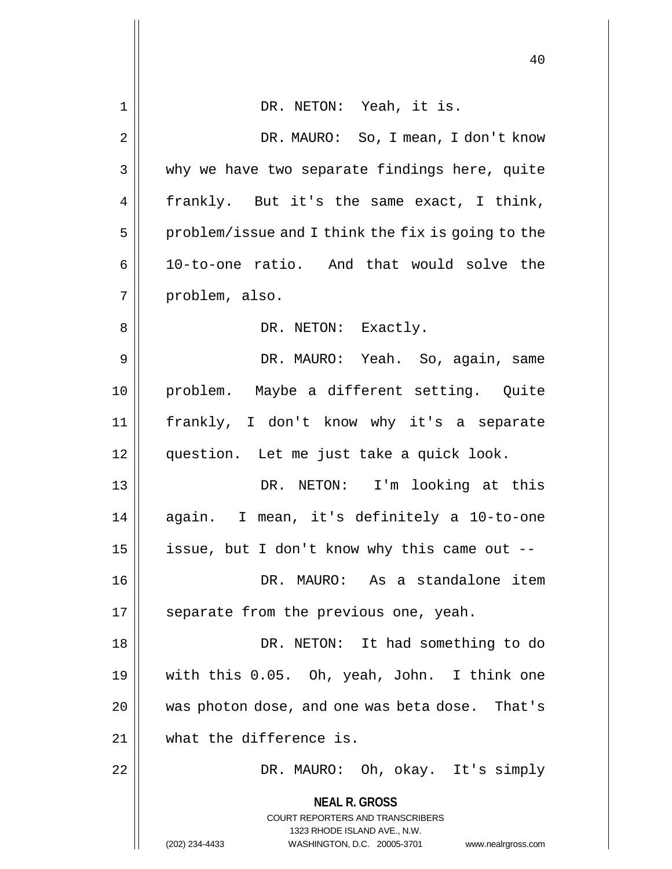|    | 40                                                                                                                                                                     |
|----|------------------------------------------------------------------------------------------------------------------------------------------------------------------------|
| 1  | DR. NETON: Yeah, it is.                                                                                                                                                |
| 2  | DR. MAURO: So, I mean, I don't know                                                                                                                                    |
| 3  | why we have two separate findings here, quite                                                                                                                          |
| 4  | frankly. But it's the same exact, I think,                                                                                                                             |
| 5  | problem/issue and I think the fix is going to the                                                                                                                      |
| 6  | 10-to-one ratio. And that would solve the                                                                                                                              |
| 7  | problem, also.                                                                                                                                                         |
| 8  | DR. NETON: Exactly.                                                                                                                                                    |
| 9  | DR. MAURO: Yeah. So, again, same                                                                                                                                       |
| 10 | problem. Maybe a different setting. Quite                                                                                                                              |
| 11 | frankly, I don't know why it's a separate                                                                                                                              |
| 12 | question. Let me just take a quick look.                                                                                                                               |
| 13 | DR. NETON: I'm looking at this                                                                                                                                         |
| 14 | again. I mean, it's definitely a 10-to-one                                                                                                                             |
| 15 | issue, but I don't know why this came out --                                                                                                                           |
| 16 | DR. MAURO: As a standalone item                                                                                                                                        |
| 17 | separate from the previous one, yeah.                                                                                                                                  |
| 18 | DR. NETON: It had something to do                                                                                                                                      |
| 19 | with this 0.05. Oh, yeah, John. I think one                                                                                                                            |
| 20 | was photon dose, and one was beta dose. That's                                                                                                                         |
| 21 | what the difference is.                                                                                                                                                |
| 22 | DR. MAURO: Oh, okay. It's simply                                                                                                                                       |
|    | <b>NEAL R. GROSS</b><br><b>COURT REPORTERS AND TRANSCRIBERS</b><br>1323 RHODE ISLAND AVE., N.W.<br>(202) 234-4433<br>WASHINGTON, D.C. 20005-3701<br>www.nealrgross.com |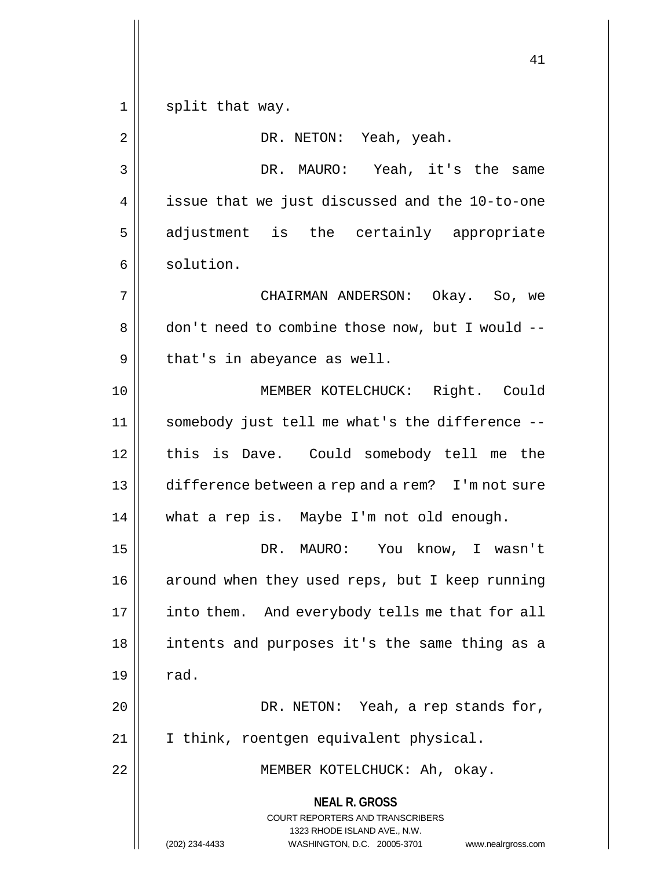1 || split that way.

**NEAL R. GROSS** COURT REPORTERS AND TRANSCRIBERS 1323 RHODE ISLAND AVE., N.W. 2 DR. NETON: Yeah, yeah. 3 DR. MAURO: Yeah, it's the same 4 | issue that we just discussed and the 10-to-one 5 adjustment is the certainly appropriate 6 | solution. 7 CHAIRMAN ANDERSON: Okay. So, we 8 don't need to combine those now, but I would -- $9 \parallel$  that's in abeyance as well. 10 MEMBER KOTELCHUCK: Right. Could 11 somebody just tell me what's the difference -- 12 || this is Dave. Could somebody tell me the 13 || difference between a rep and a rem? I'm not sure 14 || what a rep is. Maybe I'm not old enough. 15 DR. MAURO: You know, I wasn't 16 | around when they used reps, but I keep running 17 || into them. And everybody tells me that for all 18 intents and purposes it's the same thing as a  $19 \parallel \text{rad.}$ 20 || DR. NETON: Yeah, a rep stands for, 21 I think, roentgen equivalent physical. 22 || MEMBER KOTELCHUCK: Ah, okay.

(202) 234-4433 WASHINGTON, D.C. 20005-3701 www.nealrgross.com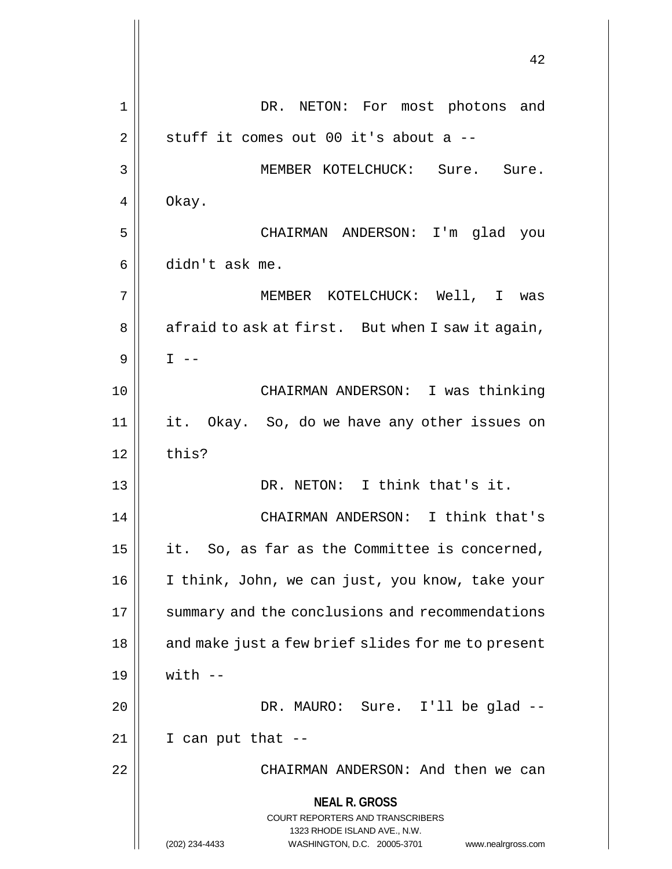**NEAL R. GROSS** COURT REPORTERS AND TRANSCRIBERS 1323 RHODE ISLAND AVE., N.W. (202) 234-4433 WASHINGTON, D.C. 20005-3701 www.nealrgross.com 42 1 DR. NETON: For most photons and  $2 \parallel$  stuff it comes out 00 it's about a --3 || MEMBER KOTELCHUCK: Sure. Sure.  $4 \parallel$  Okay. 5 CHAIRMAN ANDERSON: I'm glad you 6 didn't ask me. 7 MEMBER KOTELCHUCK: Well, I was  $8 \parallel$  afraid to ask at first. But when I saw it again,  $9$  | T  $-$ 10 CHAIRMAN ANDERSON: I was thinking 11 it. Okay. So, do we have any other issues on  $12$  | this? 13 DR. NETON: I think that's it. 14 CHAIRMAN ANDERSON: I think that's 15  $\parallel$  it. So, as far as the Committee is concerned, 16 | I think, John, we can just, you know, take your 17 | summary and the conclusions and recommendations  $18$  || and make just a few brief slides for me to present  $19 \parallel$  with  $-$ 20 DR. MAURO: Sure. I'll be glad --  $21$  | I can put that  $-$ 22 CHAIRMAN ANDERSON: And then we can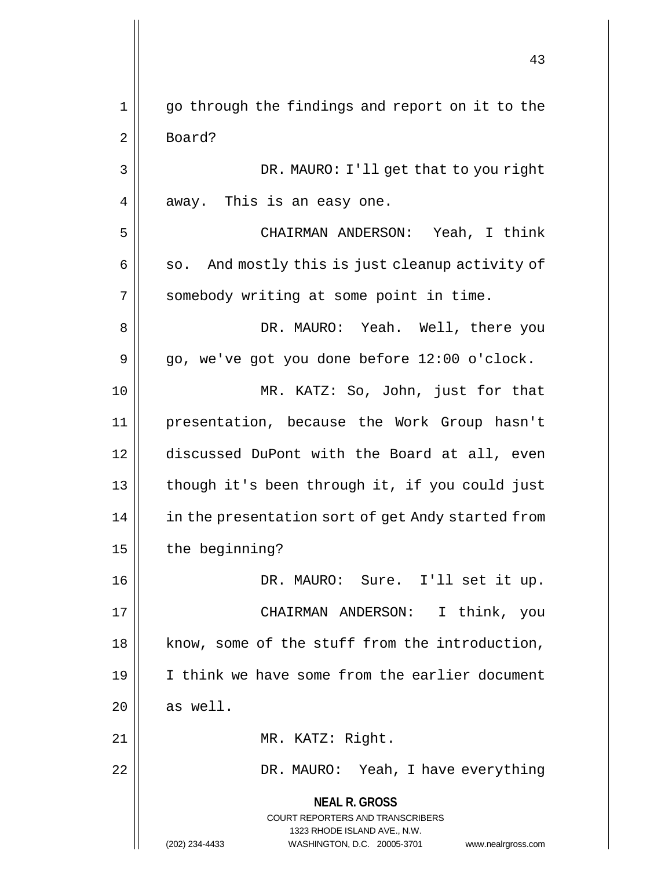**NEAL R. GROSS** COURT REPORTERS AND TRANSCRIBERS 1323 RHODE ISLAND AVE., N.W. (202) 234-4433 WASHINGTON, D.C. 20005-3701 www.nealrgross.com 1 || go through the findings and report on it to the 2 Board? 3 || DR. MAURO: I'll get that to you right  $4 \parallel$  away. This is an easy one. 5 CHAIRMAN ANDERSON: Yeah, I think  $6 \parallel$  so. And mostly this is just cleanup activity of 7 | somebody writing at some point in time. 8 DR. MAURO: Yeah. Well, there you  $9 \parallel$  go, we've got you done before 12:00 o'clock. 10 MR. KATZ: So, John, just for that 11 presentation, because the Work Group hasn't 12 discussed DuPont with the Board at all, even 13 || though it's been through it, if you could just 14 | in the presentation sort of get Andy started from  $15$  | the beginning? 16 DR. MAURO: Sure. I'll set it up. 17 CHAIRMAN ANDERSON: I think, you 18 || know, some of the stuff from the introduction, 19 I think we have some from the earlier document  $20$  as well. 21 || MR. KATZ: Right. 22 DR. MAURO: Yeah, I have everything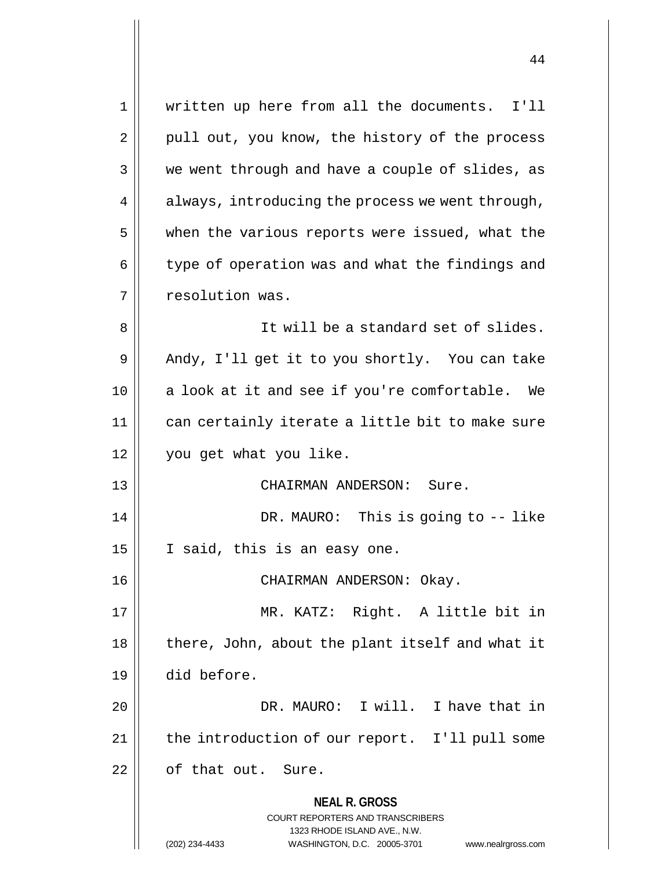**NEAL R. GROSS** COURT REPORTERS AND TRANSCRIBERS 1323 RHODE ISLAND AVE., N.W. (202) 234-4433 WASHINGTON, D.C. 20005-3701 www.nealrgross.com 1 || written up here from all the documents. I'll  $2 \parallel$  pull out, you know, the history of the process  $3 \parallel$  we went through and have a couple of slides, as  $4 \parallel$  always, introducing the process we went through,  $5$  | when the various reports were issued, what the  $6 \parallel$  type of operation was and what the findings and 7 | resolution was. 8 || It will be a standard set of slides. 9 Andy, I'll get it to you shortly. You can take 10 || a look at it and see if you're comfortable. We 11 || can certainly iterate a little bit to make sure 12 you get what you like. 13 CHAIRMAN ANDERSON: Sure. 14 DR. MAURO: This is going to -- like  $15 \parallel$  I said, this is an easy one. 16 || CHAIRMAN ANDERSON: Okay. 17 MR. KATZ: Right. A little bit in 18 || there, John, about the plant itself and what it 19 did before. 20 DR. MAURO: I will. I have that in 21 | the introduction of our report. I'll pull some  $22$  | of that out. Sure.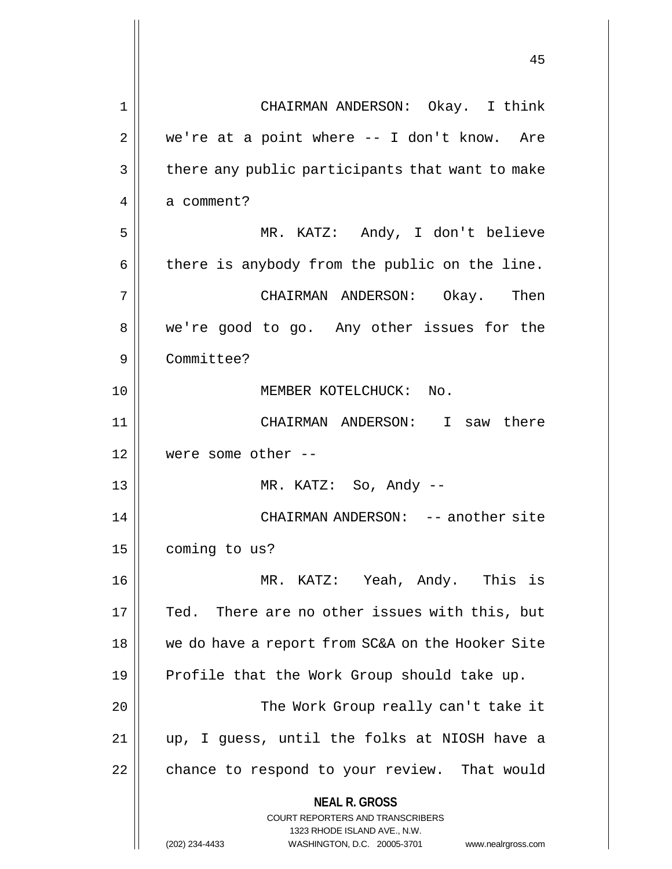| 1              | CHAIRMAN ANDERSON: Okay. I think                                                                                                                                |
|----------------|-----------------------------------------------------------------------------------------------------------------------------------------------------------------|
| $\overline{2}$ | we're at a point where -- I don't know. Are                                                                                                                     |
| 3              | there any public participants that want to make                                                                                                                 |
| 4              | a comment?                                                                                                                                                      |
| 5              | MR. KATZ: Andy, I don't believe                                                                                                                                 |
| 6              | there is anybody from the public on the line.                                                                                                                   |
| 7              | CHAIRMAN ANDERSON: Okay. Then                                                                                                                                   |
| 8              | we're good to go. Any other issues for the                                                                                                                      |
| 9              | Committee?                                                                                                                                                      |
| 10             | MEMBER KOTELCHUCK: No.                                                                                                                                          |
| 11             | CHAIRMAN ANDERSON: I saw there                                                                                                                                  |
| 12             | were some other $--$                                                                                                                                            |
| 13             | MR. KATZ: So, Andy --                                                                                                                                           |
| 14             | CHAIRMAN ANDERSON: -- another site                                                                                                                              |
| 15             | coming to us?                                                                                                                                                   |
| 16             | MR. KATZ: Yeah, Andy. This is                                                                                                                                   |
| 17             | Ted. There are no other issues with this, but                                                                                                                   |
| 18             | we do have a report from SC&A on the Hooker Site                                                                                                                |
| 19             | Profile that the Work Group should take up.                                                                                                                     |
| 20             | The Work Group really can't take it                                                                                                                             |
| 21             | up, I guess, until the folks at NIOSH have a                                                                                                                    |
| 22             | chance to respond to your review. That would                                                                                                                    |
|                | <b>NEAL R. GROSS</b><br>COURT REPORTERS AND TRANSCRIBERS<br>1323 RHODE ISLAND AVE., N.W.<br>(202) 234-4433<br>WASHINGTON, D.C. 20005-3701<br>www.nealrgross.com |

 $\mathsf{I}$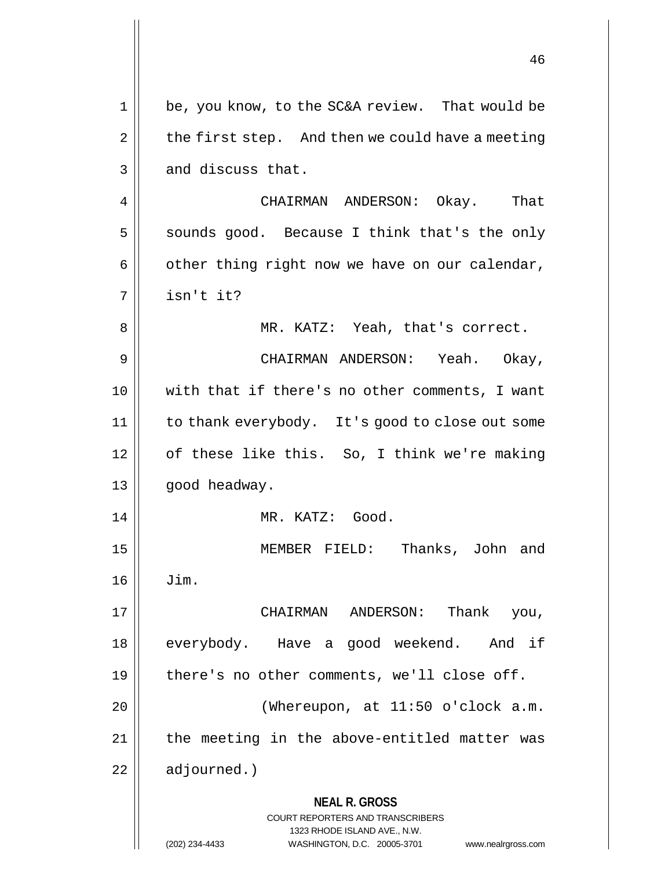|    | 46                                                                                                                                                                  |
|----|---------------------------------------------------------------------------------------------------------------------------------------------------------------------|
| 1  | be, you know, to the SC&A review. That would be                                                                                                                     |
| 2  | the first step. And then we could have a meeting                                                                                                                    |
| 3  | and discuss that.                                                                                                                                                   |
| 4  | CHAIRMAN ANDERSON: Okay. That                                                                                                                                       |
| 5  | sounds good. Because I think that's the only                                                                                                                        |
| 6  | other thing right now we have on our calendar,                                                                                                                      |
| 7  | isn't it?                                                                                                                                                           |
| 8  | MR. KATZ: Yeah, that's correct.                                                                                                                                     |
| 9  | CHAIRMAN ANDERSON: Yeah. Okay,                                                                                                                                      |
| 10 | with that if there's no other comments, I want                                                                                                                      |
| 11 | to thank everybody. It's good to close out some                                                                                                                     |
| 12 | of these like this. So, I think we're making                                                                                                                        |
| 13 | good headway.                                                                                                                                                       |
| 14 | MR. KATZ: Good.                                                                                                                                                     |
| 15 | Thanks, John and<br>MEMBER FIELD:                                                                                                                                   |
| 16 | Jim.                                                                                                                                                                |
| 17 | Thank<br>CHAIRMAN ANDERSON:<br>you,                                                                                                                                 |
| 18 | everybody. Have a good weekend. And if                                                                                                                              |
| 19 | there's no other comments, we'll close off.                                                                                                                         |
| 20 | (Whereupon, at 11:50 o'clock a.m.                                                                                                                                   |
| 21 | the meeting in the above-entitled matter was                                                                                                                        |
| 22 | adjourned.)                                                                                                                                                         |
|    | <b>NEAL R. GROSS</b><br><b>COURT REPORTERS AND TRANSCRIBERS</b><br>1323 RHODE ISLAND AVE., N.W.<br>(202) 234-4433<br>WASHINGTON, D.C. 20005-3701 www.nealrgross.com |